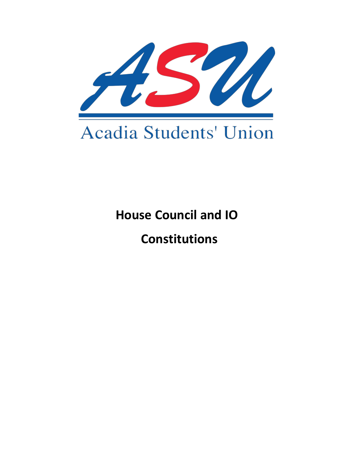

# **House Council and IO**

# **Constitutions**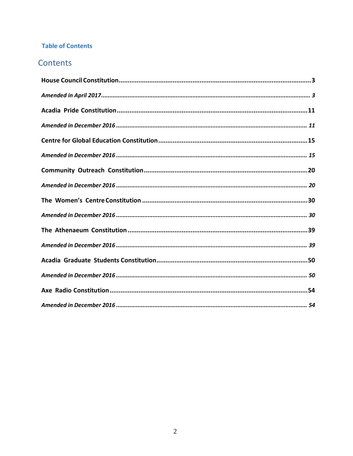# **Table of Contents**

# Contents

<span id="page-1-0"></span>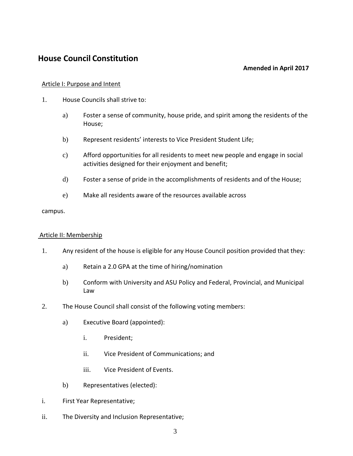# <span id="page-2-0"></span>**House Council Constitution**

## **Amended in April 2017**

#### Article I: Purpose and Intent

- 1. House Councils shall strive to:
	- a) Foster a sense of community, house pride, and spirit among the residents of the House;
	- b) Represent residents' interests to Vice President Student Life;
	- c) Afford opportunities for all residents to meet new people and engage in social activities designed for their enjoyment and benefit;
	- d) Foster a sense of pride in the accomplishments of residents and of the House;
	- e) Make all residents aware of the resources available across

#### campus.

#### Article II: Membership

- 1. Any resident of the house is eligible for any House Council position provided that they:
	- a) Retain a 2.0 GPA at the time of hiring/nomination
	- b) Conform with University and ASU Policy and Federal, Provincial, and Municipal Law
- 2. The House Council shall consist of the following voting members:
	- a) Executive Board (appointed):
		- i. President;
		- ii. Vice President of Communications; and
		- iii. Vice President of Events.
	- b) Representatives (elected):
- i. First Year Representative;
- ii. The Diversity and Inclusion Representative;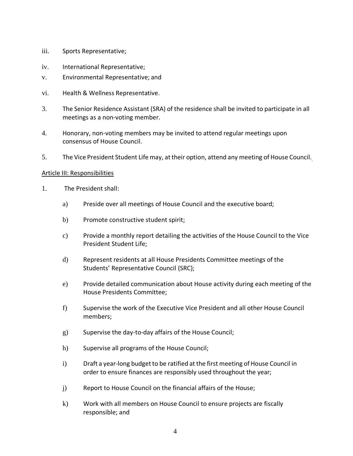- iii. Sports Representative;
- iv. International Representative;
- v. Environmental Representative; and
- vi. Health & Wellness Representative.
- 3. The Senior Residence Assistant (SRA) of the residence shall be invited to participate in all meetings as a non-voting member.
- 4. Honorary, non-voting members may be invited to attend regular meetings upon consensus of House Council.
- 5. The Vice President Student Life may, attheir option, attend any meeting of House Council.

#### Article III: Responsibilities

- 1. The President shall:
	- a) Preside over all meetings of House Council and the executive board;
	- b) Promote constructive student spirit;
	- c) Provide a monthly report detailing the activities of the House Council to the Vice President Student Life;
	- d) Represent residents at all House Presidents Committee meetings of the Students' Representative Council (SRC);
	- e) Provide detailed communication about House activity during each meeting of the House Presidents Committee;
	- f) Supervise the work of the Executive Vice President and all other House Council members;
	- g) Supervise the day-to-day affairs of the House Council;
	- h) Supervise all programs of the House Council;
	- i) Draft a year-long budget to be ratified at the first meeting of House Council in order to ensure finances are responsibly used throughout the year;
	- j) Report to House Council on the financial affairs of the House;
	- k) Work with all members on House Council to ensure projects are fiscally responsible; and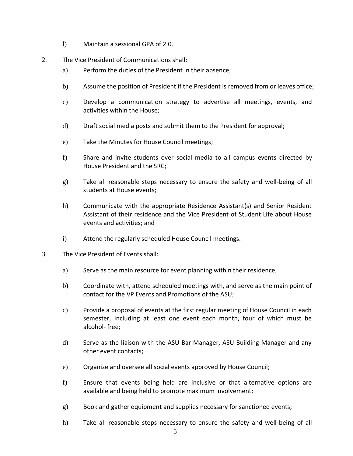- l) Maintain a sessional GPA of 2.0.
- 2. The Vice President of Communications shall:
	- a) Perform the duties of the President in their absence;
	- b) Assume the position of President if the President is removed from or leaves office;
	- c) Develop a communication strategy to advertise all meetings, events, and activities within the House;
	- d) Draft social media posts and submit them to the President for approval;
	- e) Take the Minutes for House Council meetings;
	- f) Share and invite students over social media to all campus events directed by House President and the SRC;
	- g) Take all reasonable steps necessary to ensure the safety and well-being of all students at House events;
	- h) Communicate with the appropriate Residence Assistant(s) and Senior Resident Assistant of their residence and the Vice President of Student Life about House events and activities; and
	- i) Attend the regularly scheduled House Council meetings.
- 3. The Vice President of Events shall:
	- a) Serve as the main resource for event planning within their residence;
	- b) Coordinate with, attend scheduled meetings with, and serve as the main point of contact for the VP Events and Promotions of the ASU;
	- c) Provide a proposal of events at the first regular meeting of House Council in each semester, including at least one event each month, four of which must be alcohol- free;
	- d) Serve as the liaison with the ASU Bar Manager, ASU Building Manager and any other event contacts;
	- e) Organize and oversee all social events approved by House Council;
	- f) Ensure that events being held are inclusive or that alternative options are available and being held to promote maximum involvement;
	- g) Book and gather equipment and supplies necessary for sanctioned events;
	- h) Take all reasonable steps necessary to ensure the safety and well-being of all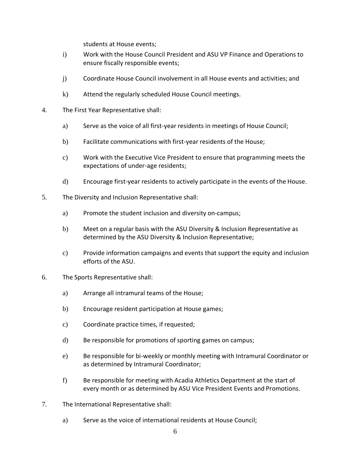students at House events;

- i) Work with the House Council President and ASU VP Finance and Operations to ensure fiscally responsible events;
- j) Coordinate House Council involvement in all House events and activities; and
- k) Attend the regularly scheduled House Council meetings.
- 4. The First Year Representative shall:
	- a) Serve as the voice of all first-year residents in meetings of House Council;
	- b) Facilitate communications with first-year residents of the House;
	- c) Work with the Executive Vice President to ensure that programming meets the expectations of under-age residents;
	- d) Encourage first-year residents to actively participate in the events of the House.
- 5. The Diversity and Inclusion Representative shall:
	- a) Promote the student inclusion and diversity on-campus;
	- b) Meet on a regular basis with the ASU Diversity & Inclusion Representative as determined by the ASU Diversity & Inclusion Representative;
	- c) Provide information campaigns and events that support the equity and inclusion efforts of the ASU.
- 6. The Sports Representative shall:
	- a) Arrange all intramural teams of the House;
	- b) Encourage resident participation at House games;
	- c) Coordinate practice times, if requested;
	- d) Be responsible for promotions of sporting games on campus;
	- e) Be responsible for bi-weekly or monthly meeting with Intramural Coordinator or as determined by Intramural Coordinator;
	- f) Be responsible for meeting with Acadia Athletics Department at the start of every month or as determined by ASU Vice President Events and Promotions.
- 7. The International Representative shall:
	- a) Serve as the voice of international residents at House Council;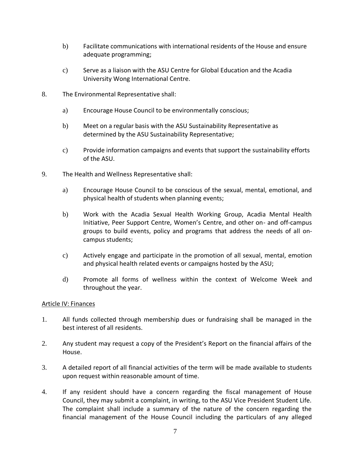- b) Facilitate communications with international residents of the House and ensure adequate programming;
- c) Serve as a liaison with the ASU Centre for Global Education and the Acadia University Wong International Centre.
- 8. The Environmental Representative shall:
	- a) Encourage House Council to be environmentally conscious;
	- b) Meet on a regular basis with the ASU Sustainability Representative as determined by the ASU Sustainability Representative;
	- c) Provide information campaigns and events that support the sustainability efforts of the ASU.
- 9. The Health and Wellness Representative shall:
	- a) Encourage House Council to be conscious of the sexual, mental, emotional, and physical health of students when planning events;
	- b) Work with the Acadia Sexual Health Working Group, Acadia Mental Health Initiative, Peer Support Centre, Women's Centre, and other on- and off-campus groups to build events, policy and programs that address the needs of all oncampus students;
	- c) Actively engage and participate in the promotion of all sexual, mental, emotion and physical health related events or campaigns hosted by the ASU;
	- d) Promote all forms of wellness within the context of Welcome Week and throughout the year.

#### Article IV: Finances

- 1. All funds collected through membership dues or fundraising shall be managed in the best interest of all residents.
- 2. Any student may request a copy of the President's Report on the financial affairs of the House.
- 3. A detailed report of all financial activities of the term will be made available to students upon request within reasonable amount of time.
- 4. If any resident should have a concern regarding the fiscal management of House Council, they may submit a complaint, in writing, to the ASU Vice President Student Life. The complaint shall include a summary of the nature of the concern regarding the financial management of the House Council including the particulars of any alleged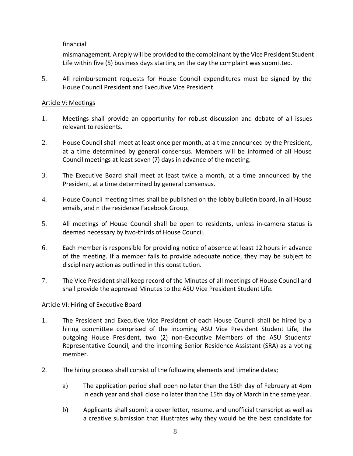## financial

mismanagement. A reply will be provided to the complainant by the Vice President Student Life within five (5) business days starting on the day the complaint was submitted.

5. All reimbursement requests for House Council expenditures must be signed by the House Council President and Executive Vice President.

## Article V: Meetings

- 1. Meetings shall provide an opportunity for robust discussion and debate of all issues relevant to residents.
- 2. House Council shall meet at least once per month, at a time announced by the President, at a time determined by general consensus. Members will be informed of all House Council meetings at least seven (7) days in advance of the meeting.
- 3. The Executive Board shall meet at least twice a month, at a time announced by the President, at a time determined by general consensus.
- 4. House Council meeting times shall be published on the lobby bulletin board, in all House emails, and n the residence Facebook Group.
- 5. All meetings of House Council shall be open to residents, unless in-camera status is deemed necessary by two-thirds of House Council.
- 6. Each member is responsible for providing notice of absence at least 12 hours in advance of the meeting. If a member fails to provide adequate notice, they may be subject to disciplinary action as outlined in this constitution.
- 7. The Vice President shall keep record of the Minutes of all meetings of House Council and shall provide the approved Minutes to the ASU Vice President Student Life.

## Article VI: Hiring of Executive Board

- 1. The President and Executive Vice President of each House Council shall be hired by a hiring committee comprised of the incoming ASU Vice President Student Life, the outgoing House President, two (2) non-Executive Members of the ASU Students' Representative Council, and the incoming Senior Residence Assistant (SRA) as a voting member.
- 2. The hiring process shall consist of the following elements and timeline dates;
	- a) The application period shall open no later than the 15th day of February at 4pm in each year and shall close no later than the 15th day of March in the same year.
	- b) Applicants shall submit a cover letter, resume, and unofficial transcript as well as a creative submission that illustrates why they would be the best candidate for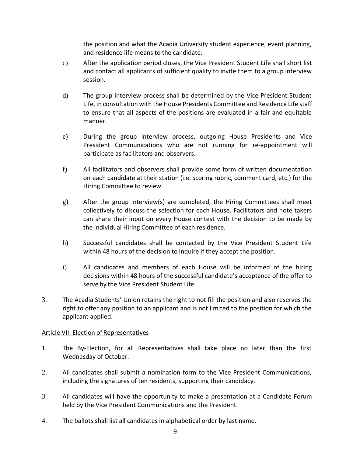the position and what the Acadia University student experience, event planning, and residence life means to the candidate.

- c) After the application period closes, the Vice President Student Life shall short list and contact all applicants of sufficient quality to invite them to a group interview session.
- d) The group interview process shall be determined by the Vice President Student Life, in consultation with the House Presidents Committee and Residence Life staff to ensure that all aspects of the positions are evaluated in a fair and equitable manner.
- e) During the group interview process, outgoing House Presidents and Vice President Communications who are not running for re-appointment will participate as facilitators and observers.
- f) All facilitators and observers shall provide some form of written documentation on each candidate at their station (i.e. scoring rubric, comment card, etc.) for the Hiring Committee to review.
- g) After the group interview(s) are completed, the Hiring Committees shall meet collectively to discuss the selection for each House. Facilitators and note takers can share their input on every House contest with the decision to be made by the individual Hiring Committee of each residence.
- h) Successful candidates shall be contacted by the Vice President Student Life within 48 hours of the decision to inquire if they accept the position.
- i) All candidates and members of each House will be informed of the hiring decisions within 48 hours of the successful candidate's acceptance of the offer to serve by the Vice President Student Life.
- 3. The Acadia Students' Union retains the right to not fill the position and also reserves the right to offer any position to an applicant and is not limited to the position for which the applicant applied.

## Article VII: Election of Representatives

- 1. The By-Election, for all Representatives shall take place no later than the first Wednesday of October.
- 2. All candidates shall submit a nomination form to the Vice President Communications, including the signatures of ten residents, supporting their candidacy.
- 3. All candidates will have the opportunity to make a presentation at a Candidate Forum held by the Vice President Communications and the President.
- 4. The ballots shall list all candidates in alphabetical order by last name.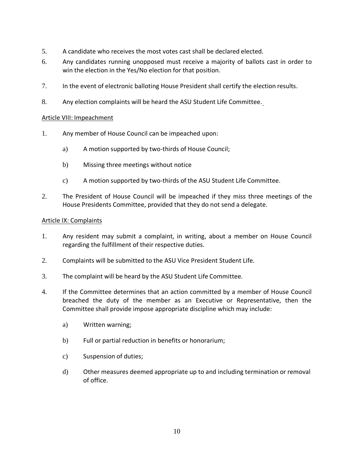- 5. A candidate who receives the most votes cast shall be declared elected.
- 6. Any candidates running unopposed must receive a majority of ballots cast in order to win the election in the Yes/No election for that position.
- 7. In the event of electronic balloting House President shall certify the election results.
- 8. Any election complaints will be heard the ASU Student Life Committee.

## Article VIII: Impeachment

- 1. Any member of House Council can be impeached upon:
	- a) A motion supported by two-thirds of House Council;
	- b) Missing three meetings without notice
	- c) A motion supported by two-thirds of the ASU Student Life Committee.
- 2. The President of House Council will be impeached if they miss three meetings of the House Presidents Committee, provided that they do not send a delegate.

#### Article IX: Complaints

- 1. Any resident may submit a complaint, in writing, about a member on House Council regarding the fulfillment of their respective duties.
- 2. Complaints will be submitted to the ASU Vice President Student Life.
- 3. The complaint will be heard by the ASU Student Life Committee.
- 4. If the Committee determines that an action committed by a member of House Council breached the duty of the member as an Executive or Representative, then the Committee shall provide impose appropriate discipline which may include:
	- a) Written warning;
	- b) Full or partial reduction in benefits or honorarium;
	- c) Suspension of duties;
	- d) Other measures deemed appropriate up to and including termination or removal of office.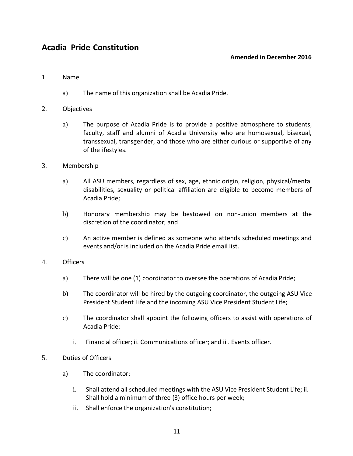# <span id="page-10-1"></span><span id="page-10-0"></span>**Acadia Pride Constitution**

#### **Amended in December 2016**

#### 1. Name

- a) The name of this organization shall be Acadia Pride.
- 2. Objectives
	- a) The purpose of Acadia Pride is to provide a positive atmosphere to students, faculty, staff and alumni of Acadia University who are homosexual, bisexual, transsexual, transgender, and those who are either curious or supportive of any of thelifestyles.
- 3. Membership
	- a) All ASU members, regardless of sex, age, ethnic origin, religion, physical/mental disabilities, sexuality or political affiliation are eligible to become members of Acadia Pride;
	- b) Honorary membership may be bestowed on non-union members at the discretion of the coordinator; and
	- c) An active member is defined as someone who attends scheduled meetings and events and/or is included on the Acadia Pride email list.
- 4. Officers
	- a) There will be one (1) coordinator to oversee the operations of Acadia Pride;
	- b) The coordinator will be hired by the outgoing coordinator, the outgoing ASU Vice President Student Life and the incoming ASU Vice President Student Life;
	- c) The coordinator shall appoint the following officers to assist with operations of Acadia Pride:
		- i. Financial officer; ii. Communications officer; and iii. Events officer.
- 5. Duties of Officers
	- a) The coordinator:
		- i. Shall attend all scheduled meetings with the ASU Vice President Student Life; ii. Shall hold a minimum of three (3) office hours per week;
		- ii. Shall enforce the organization's constitution;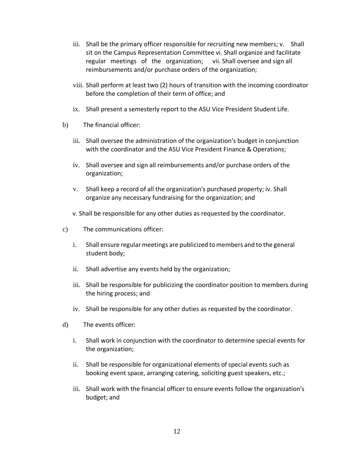- iii. Shall be the primary officer responsible for recruiting new members; v. Shall sit on the Campus Representation Committee vi. Shall organize and facilitate regular meetings of the organization; vii. Shall oversee and sign all reimbursements and/or purchase orders of the organization;
- viii. Shall perform at least two (2) hours of transition with the incoming coordinator before the completion of their term of office; and
- ix. Shall present a semesterly report to the ASU Vice President Student Life.
- b) The financial officer:
	- iii. Shall oversee the administration of the organization's budget in conjunction with the coordinator and the ASU Vice President Finance & Operations;
	- iv. Shall oversee and sign all reimbursements and/or purchase orders of the organization;
	- v. Shall keep a record of all the organization's purchased property; iv. Shall organize any necessary fundraising for the organization; and
	- v. Shall be responsible for any other duties as requested by the coordinator.
- c) The communications officer:
	- i. Shall ensure regularmeetings are publicized tomembers and to the general student body;
	- ii. Shall advertise any events held by the organization;
	- iii. Shall be responsible for publicizing the coordinator position to members during the hiring process; and
	- iv. Shall be responsible for any other duties as requested by the coordinator.
- d) The events officer:
	- i. Shall work in conjunction with the coordinator to determine special events for the organization;
	- ii. Shall be responsible for organizational elements of special events such as booking event space, arranging catering, soliciting guest speakers, etc.;
	- iii. Shall work with the financial officer to ensure events follow the organization's budget; and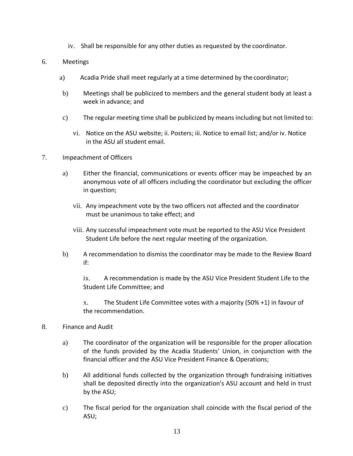- iv. Shall be responsible for any other duties as requested by the coordinator.
- 6. Meetings
	- a) Acadia Pride shall meet regularly at a time determined by the coordinator;
	- b) Meetings shall be publicized to members and the general student body at least a week in advance; and
	- c) The regular meeting time shall be publicized by meansincluding but not limited to:
		- vi. Notice on the ASU website; ii. Posters; iii. Notice to email list; and/or iv. Notice in the ASU all student email.
- 7. Impeachment of Officers
	- a) Either the financial, communications or events officer may be impeached by an anonymous vote of all officers including the coordinator but excluding the officer in question;
		- vii. Any impeachment vote by the two officers not affected and the coordinator must be unanimous to take effect; and
		- viii. Any successful impeachment vote must be reported to the ASU Vice President Student Life before the next regular meeting of the organization.
	- b) A recommendation to dismiss the coordinator may be made to the Review Board if:

ix. A recommendation is made by the ASU Vice President Student Life to the Student Life Committee; and

x. The Student Life Committee votes with a majority (50% +1) in favour of the recommendation.

#### 8. Finance and Audit

- a) The coordinator of the organization will be responsible for the proper allocation of the funds provided by the Acadia Students' Union, in conjunction with the financial officer and the ASU Vice President Finance & Operations;
- b) All additional funds collected by the organization through fundraising initiatives shall be deposited directly into the organization's ASU account and held in trust by the ASU;
- c) The fiscal period for the organization shall coincide with the fiscal period of the ASU;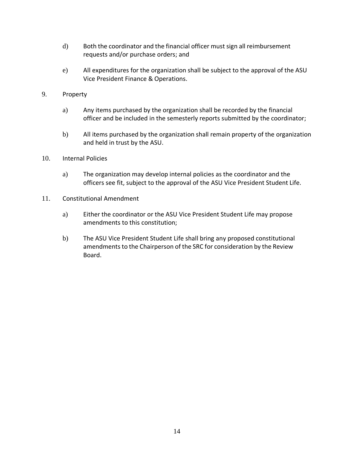- d) Both the coordinator and the financial officer must sign all reimbursement requests and/or purchase orders; and
- e) All expenditures for the organization shall be subject to the approval of the ASU Vice President Finance & Operations.
- 9. Property
	- a) Any items purchased by the organization shall be recorded by the financial officer and be included in the semesterly reports submitted by the coordinator;
	- b) All items purchased by the organization shall remain property of the organization and held in trust by the ASU.
- 10. Internal Policies
	- a) The organization may develop internal policies as the coordinator and the officers see fit, subject to the approval of the ASU Vice President Student Life.
- 11. Constitutional Amendment
	- a) Either the coordinator or the ASU Vice President Student Life may propose amendments to this constitution;
	- b) The ASU Vice President Student Life shall bring any proposed constitutional amendments to the Chairperson of the SRC for consideration by the Review Board.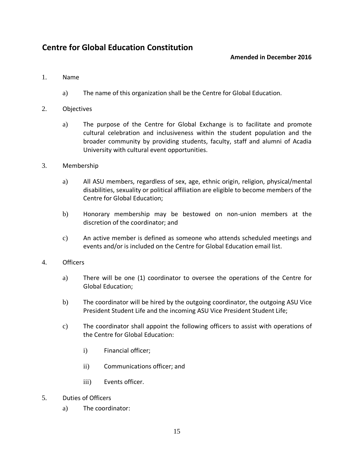# <span id="page-14-1"></span><span id="page-14-0"></span>**Centre for Global Education Constitution**

## **Amended in December 2016**

#### 1. Name

- a) The name of this organization shall be the Centre for Global Education.
- 2. Objectives
	- a) The purpose of the Centre for Global Exchange is to facilitate and promote cultural celebration and inclusiveness within the student population and the broader community by providing students, faculty, staff and alumni of Acadia University with cultural event opportunities.
- 3. Membership
	- a) All ASU members, regardless of sex, age, ethnic origin, religion, physical/mental disabilities, sexuality or political affiliation are eligible to become members of the Centre for Global Education;
	- b) Honorary membership may be bestowed on non-union members at the discretion of the coordinator; and
	- c) An active member is defined as someone who attends scheduled meetings and events and/or is included on the Centre for Global Education email list.
- 4. Officers
	- a) There will be one (1) coordinator to oversee the operations of the Centre for Global Education;
	- b) The coordinator will be hired by the outgoing coordinator, the outgoing ASU Vice President Student Life and the incoming ASU Vice President Student Life;
	- c) The coordinator shall appoint the following officers to assist with operations of the Centre for Global Education:
		- i) Financial officer;
		- ii) Communications officer; and
		- iii) Events officer.
- 5. Duties of Officers
	- a) The coordinator: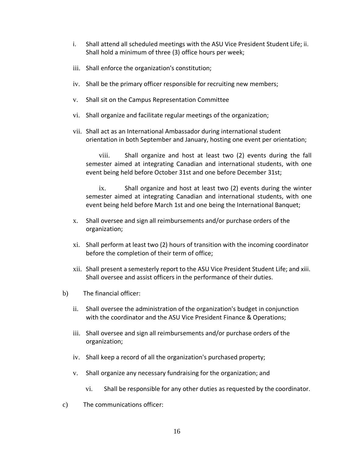- i. Shall attend all scheduled meetings with the ASU Vice President Student Life; ii. Shall hold a minimum of three (3) office hours per week;
- iii. Shall enforce the organization's constitution;
- iv. Shall be the primary officer responsible for recruiting new members;
- v. Shall sit on the Campus Representation Committee
- vi. Shall organize and facilitate regular meetings of the organization;
- vii. Shall act as an International Ambassador during international student orientation in both September and January, hosting one event per orientation;

viii. Shall organize and host at least two (2) events during the fall semester aimed at integrating Canadian and international students, with one event being held before October 31st and one before December 31st;

ix. Shall organize and host at least two (2) events during the winter semester aimed at integrating Canadian and international students, with one event being held before March 1st and one being the International Banquet;

- x. Shall oversee and sign all reimbursements and/or purchase orders of the organization;
- xi. Shall perform at least two (2) hours of transition with the incoming coordinator before the completion of their term of office;
- xii. Shall present a semesterly report to the ASU Vice President Student Life; and xiii. Shall oversee and assist officers in the performance of their duties.
- b) The financial officer:
	- ii. Shall oversee the administration of the organization's budget in conjunction with the coordinator and the ASU Vice President Finance & Operations;
	- iii. Shall oversee and sign all reimbursements and/or purchase orders of the organization;
	- iv. Shall keep a record of all the organization's purchased property;
	- v. Shall organize any necessary fundraising for the organization; and
		- vi. Shall be responsible for any other duties as requested by the coordinator.
- c) The communications officer: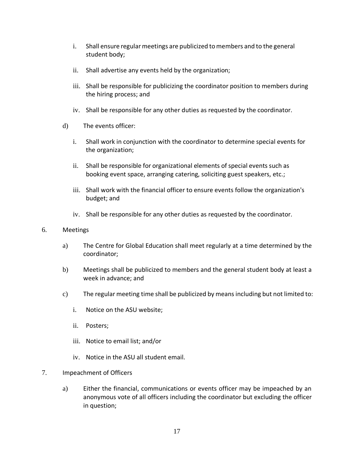- i. Shall ensure regular meetings are publicized to members and to the general student body;
- ii. Shall advertise any events held by the organization;
- iii. Shall be responsible for publicizing the coordinator position to members during the hiring process; and
- iv. Shall be responsible for any other duties as requested by the coordinator.
- d) The events officer:
	- i. Shall work in conjunction with the coordinator to determine special events for the organization;
	- ii. Shall be responsible for organizational elements of special events such as booking event space, arranging catering, soliciting guest speakers, etc.;
	- iii. Shall work with the financial officer to ensure events follow the organization's budget; and
	- iv. Shall be responsible for any other duties as requested by the coordinator.
- 6. Meetings
	- a) The Centre for Global Education shall meet regularly at a time determined by the coordinator;
	- b) Meetings shall be publicized to members and the general student body at least a week in advance; and
	- c) The regular meeting time shall be publicized by meansincluding but not limited to:
		- i. Notice on the ASU website;
		- ii. Posters;
		- iii. Notice to email list; and/or
		- iv. Notice in the ASU all student email.
- 7. Impeachment of Officers
	- a) Either the financial, communications or events officer may be impeached by an anonymous vote of all officers including the coordinator but excluding the officer in question;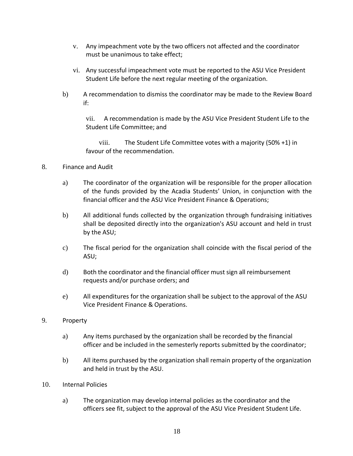- v. Any impeachment vote by the two officers not affected and the coordinator must be unanimous to take effect;
- vi. Any successful impeachment vote must be reported to the ASU Vice President Student Life before the next regular meeting of the organization.
- b) A recommendation to dismiss the coordinator may be made to the Review Board if:

vii. A recommendation is made by the ASU Vice President Student Life to the Student Life Committee; and

viii. The Student Life Committee votes with a majority (50% +1) in favour of the recommendation.

### 8. Finance and Audit

- a) The coordinator of the organization will be responsible for the proper allocation of the funds provided by the Acadia Students' Union, in conjunction with the financial officer and the ASU Vice President Finance & Operations;
- b) All additional funds collected by the organization through fundraising initiatives shall be deposited directly into the organization's ASU account and held in trust by the ASU;
- c) The fiscal period for the organization shall coincide with the fiscal period of the ASU;
- d) Both the coordinator and the financial officer must sign all reimbursement requests and/or purchase orders; and
- e) All expenditures for the organization shall be subject to the approval of the ASU Vice President Finance & Operations.

## 9. Property

- a) Any items purchased by the organization shall be recorded by the financial officer and be included in the semesterly reports submitted by the coordinator;
- b) All items purchased by the organization shall remain property of the organization and held in trust by the ASU.
- 10. Internal Policies
	- a) The organization may develop internal policies as the coordinator and the officers see fit, subject to the approval of the ASU Vice President Student Life.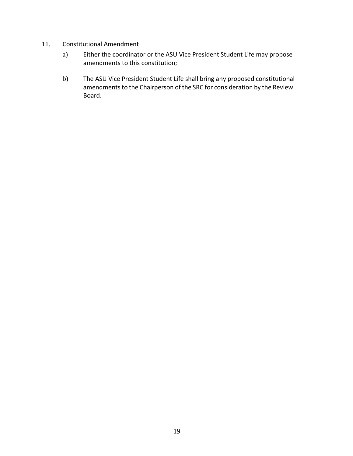- 11. Constitutional Amendment
	- a) Either the coordinator or the ASU Vice President Student Life may propose amendments to this constitution;
	- b) The ASU Vice President Student Life shall bring any proposed constitutional amendments to the Chairperson of the SRC for consideration by the Review Board.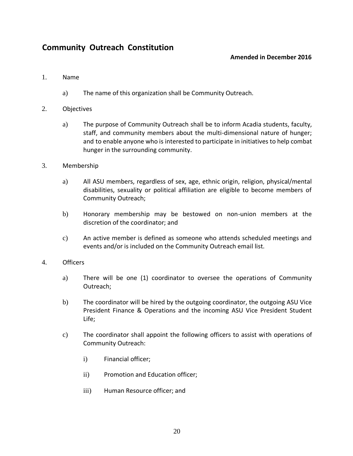# <span id="page-19-1"></span><span id="page-19-0"></span>**Community Outreach Constitution**

### **Amended in December 2016**

#### 1. Name

a) The name of this organization shall be Community Outreach.

## 2. Objectives

- a) The purpose of Community Outreach shall be to inform Acadia students, faculty, staff, and community members about the multi-dimensional nature of hunger; and to enable anyone who is interested to participate in initiatives to help combat hunger in the surrounding community.
- 3. Membership
	- a) All ASU members, regardless of sex, age, ethnic origin, religion, physical/mental disabilities, sexuality or political affiliation are eligible to become members of Community Outreach;
	- b) Honorary membership may be bestowed on non-union members at the discretion of the coordinator; and
	- c) An active member is defined as someone who attends scheduled meetings and events and/or is included on the Community Outreach email list.

## 4. Officers

- a) There will be one (1) coordinator to oversee the operations of Community Outreach;
- b) The coordinator will be hired by the outgoing coordinator, the outgoing ASU Vice President Finance & Operations and the incoming ASU Vice President Student Life;
- c) The coordinator shall appoint the following officers to assist with operations of Community Outreach:
	- i) Financial officer;
	- ii) Promotion and Education officer;
	- iii) Human Resource officer; and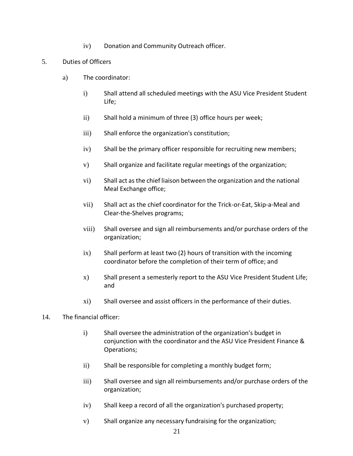- iv) Donation and Community Outreach officer.
- 5. Duties of Officers
	- a) The coordinator:
		- i) Shall attend all scheduled meetings with the ASU Vice President Student Life;
		- ii) Shall hold a minimum of three (3) office hours per week;
		- iii) Shall enforce the organization's constitution;
		- iv) Shall be the primary officer responsible for recruiting new members;
		- v) Shall organize and facilitate regular meetings of the organization;
		- vi) Shall act asthe chief liaison between the organization and the national Meal Exchange office;
		- vii) Shall act as the chief coordinator for the Trick-or-Eat, Skip-a-Meal and Clear-the-Shelves programs;
		- viii) Shall oversee and sign all reimbursements and/or purchase orders of the organization;
		- ix) Shall perform at least two (2) hours of transition with the incoming coordinator before the completion of their term of office; and
		- x) Shall present a semesterly report to the ASU Vice President Student Life; and
		- xi) Shall oversee and assist officers in the performance of their duties.
- 14. The financial officer:
	- i) Shall oversee the administration of the organization's budget in conjunction with the coordinator and the ASU Vice President Finance & Operations;
	- ii) Shall be responsible for completing a monthly budget form;
	- iii) Shall oversee and sign all reimbursements and/or purchase orders of the organization;
	- iv) Shall keep a record of all the organization's purchased property;
	- v) Shall organize any necessary fundraising for the organization;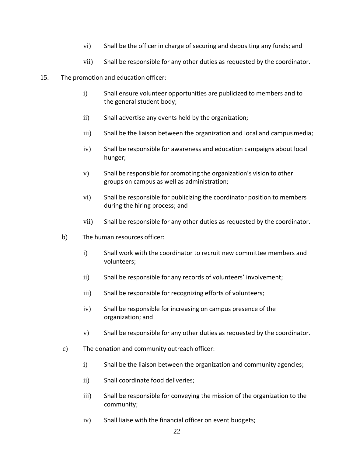- vi) Shall be the officer in charge of securing and depositing any funds; and
- vii) Shall be responsible for any other duties as requested by the coordinator.
- 15. The promotion and education officer:
	- i) Shall ensure volunteer opportunities are publicized to members and to the general student body;
	- ii) Shall advertise any events held by the organization;
	- iii) Shall be the liaison between the organization and local and campus media;
	- iv) Shall be responsible for awareness and education campaigns about local hunger;
	- v) Shall be responsible for promoting the organization's vision to other groups on campus as well as administration;
	- vi) Shall be responsible for publicizing the coordinator position to members during the hiring process; and
	- vii) Shall be responsible for any other duties as requested by the coordinator.
	- b) The human resources officer:
		- i) Shall work with the coordinator to recruit new committee members and volunteers;
		- ii) Shall be responsible for any records of volunteers' involvement;
		- iii) Shall be responsible for recognizing efforts of volunteers;
		- iv) Shall be responsible for increasing on campus presence of the organization; and
		- v) Shall be responsible for any other duties as requested by the coordinator.
	- c) The donation and community outreach officer:
		- i) Shall be the liaison between the organization and community agencies;
		- ii) Shall coordinate food deliveries;
		- iii) Shall be responsible for conveying the mission of the organization to the community;
		- iv) Shall liaise with the financial officer on event budgets;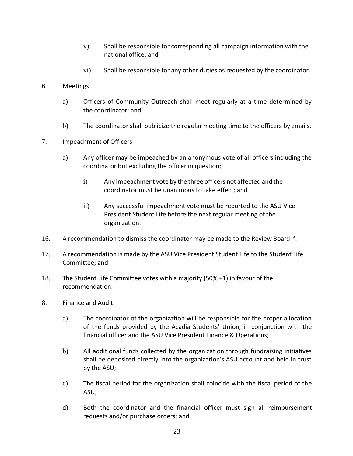- v) Shall be responsible for corresponding all campaign information with the national office; and
- vi) Shall be responsible for any other duties as requested by the coordinator.
- 6. Meetings
	- a) Officers of Community Outreach shall meet regularly at a time determined by the coordinator; and
	- b) The coordinator shall publicize the regular meeting time to the officers by emails.
- 7. Impeachment of Officers
	- a) Any officer may be impeached by an anonymous vote of all officers including the coordinator but excluding the officer in question;
		- i) Any impeachment vote by the three officers not affected and the coordinator must be unanimous to take effect; and
		- ii) Any successful impeachment vote must be reported to the ASU Vice President Student Life before the next regular meeting of the organization.
- 16. A recommendation to dismiss the coordinator may be made to the Review Board if:
- 17. A recommendation is made by the ASU Vice President Student Life to the Student Life Committee; and
- 18. The Student Life Committee votes with a majority (50% +1) in favour of the recommendation.
- 8. Finance and Audit
	- a) The coordinator of the organization will be responsible for the proper allocation of the funds provided by the Acadia Students' Union, in conjunction with the financial officer and the ASU Vice President Finance & Operations;
	- b) All additional funds collected by the organization through fundraising initiatives shall be deposited directly into the organization's ASU account and held in trust by the ASU;
	- c) The fiscal period for the organization shall coincide with the fiscal period of the ASU;
	- d) Both the coordinator and the financial officer must sign all reimbursement requests and/or purchase orders; and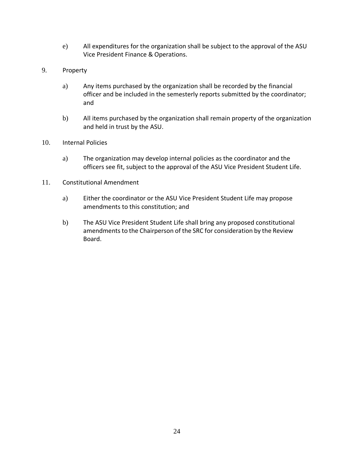- e) All expenditures for the organization shall be subject to the approval of the ASU Vice President Finance & Operations.
- 9. Property
	- a) Any items purchased by the organization shall be recorded by the financial officer and be included in the semesterly reports submitted by the coordinator; and
	- b) All items purchased by the organization shall remain property of the organization and held in trust by the ASU.
- 10. Internal Policies
	- a) The organization may develop internal policies as the coordinator and the officers see fit, subject to the approval of the ASU Vice President Student Life.
- 11. Constitutional Amendment
	- a) Either the coordinator or the ASU Vice President Student Life may propose amendments to this constitution; and
	- b) The ASU Vice President Student Life shall bring any proposed constitutional amendments to the Chairperson of the SRC for consideration by the Review Board.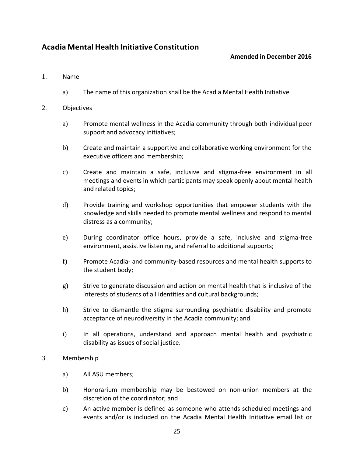# **Acadia Mental Health Initiative Constitution**

## **Amended in December 2016**

#### 1. Name

a) The name of this organization shall be the Acadia Mental Health Initiative.

#### 2. Objectives

- a) Promote mental wellness in the Acadia community through both individual peer support and advocacy initiatives;
- b) Create and maintain a supportive and collaborative working environment for the executive officers and membership;
- c) Create and maintain a safe, inclusive and stigma-free environment in all meetings and events in which participants may speak openly about mental health and related topics;
- d) Provide training and workshop opportunities that empower students with the knowledge and skills needed to promote mental wellness and respond to mental distress as a community;
- e) During coordinator office hours, provide a safe, inclusive and stigma-free environment, assistive listening, and referral to additional supports;
- f) Promote Acadia- and community-based resources and mental health supports to the student body;
- g) Strive to generate discussion and action on mental health that is inclusive of the interests of students of all identities and cultural backgrounds;
- h) Strive to dismantle the stigma surrounding psychiatric disability and promote acceptance of neurodiversity in the Acadia community; and
- i) In all operations, understand and approach mental health and psychiatric disability as issues of social justice.

## 3. Membership

- a) All ASU members;
- b) Honorarium membership may be bestowed on non-union members at the discretion of the coordinator; and
- c) An active member is defined as someone who attends scheduled meetings and events and/or is included on the Acadia Mental Health Initiative email list or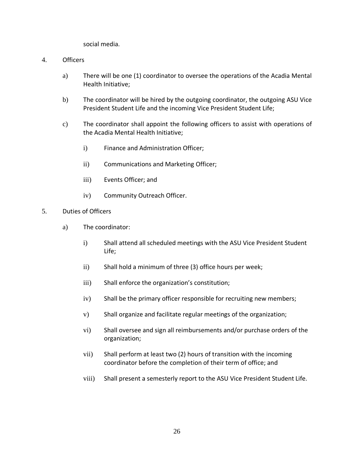social media.

#### 4. Officers

- a) There will be one (1) coordinator to oversee the operations of the Acadia Mental Health Initiative;
- b) The coordinator will be hired by the outgoing coordinator, the outgoing ASU Vice President Student Life and the incoming Vice President Student Life;
- c) The coordinator shall appoint the following officers to assist with operations of the Acadia Mental Health Initiative;
	- i) Finance and Administration Officer;
	- ii) Communications and Marketing Officer;
	- iii) Events Officer; and
	- iv) Community Outreach Officer.
- 5. Duties of Officers
	- a) The coordinator:
		- i) Shall attend all scheduled meetings with the ASU Vice President Student Life;
		- ii) Shall hold a minimum of three (3) office hours per week;
		- iii) Shall enforce the organization's constitution;
		- iv) Shall be the primary officer responsible for recruiting new members;
		- v) Shall organize and facilitate regular meetings of the organization;
		- vi) Shall oversee and sign all reimbursements and/or purchase orders of the organization;
		- vii) Shall perform at least two (2) hours of transition with the incoming coordinator before the completion of their term of office; and
		- viii) Shall present a semesterly report to the ASU Vice President Student Life.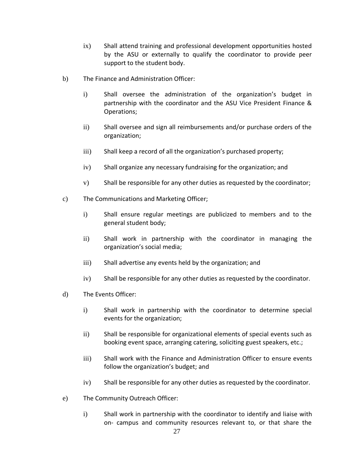- ix) Shall attend training and professional development opportunities hosted by the ASU or externally to qualify the coordinator to provide peer support to the student body.
- b) The Finance and Administration Officer:
	- i) Shall oversee the administration of the organization's budget in partnership with the coordinator and the ASU Vice President Finance & Operations;
	- ii) Shall oversee and sign all reimbursements and/or purchase orders of the organization;
	- iii) Shall keep a record of all the organization's purchased property;
	- iv) Shall organize any necessary fundraising for the organization; and
	- v) Shall be responsible for any other duties as requested by the coordinator;
- c) The Communications and Marketing Officer;
	- i) Shall ensure regular meetings are publicized to members and to the general student body;
	- ii) Shall work in partnership with the coordinator in managing the organization's social media;
	- iii) Shall advertise any events held by the organization; and
	- iv) Shall be responsible for any other duties as requested by the coordinator.
- d) The Events Officer:
	- i) Shall work in partnership with the coordinator to determine special events for the organization;
	- ii) Shall be responsible for organizational elements of special events such as booking event space, arranging catering, soliciting guest speakers, etc.;
	- iii) Shall work with the Finance and Administration Officer to ensure events follow the organization's budget; and
	- iv) Shall be responsible for any other duties as requested by the coordinator.
- e) The Community Outreach Officer:
	- i) Shall work in partnership with the coordinator to identify and liaise with on- campus and community resources relevant to, or that share the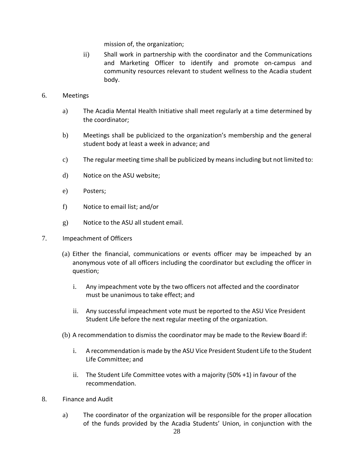mission of, the organization;

- ii) Shall work in partnership with the coordinator and the Communications and Marketing Officer to identify and promote on-campus and community resources relevant to student wellness to the Acadia student body.
- 6. Meetings
	- a) The Acadia Mental Health Initiative shall meet regularly at a time determined by the coordinator;
	- b) Meetings shall be publicized to the organization's membership and the general student body at least a week in advance; and
	- c) The regular meeting time shall be publicized by meansincluding but not limited to:
	- d) Notice on the ASU website;
	- e) Posters;
	- f) Notice to email list; and/or
	- g) Notice to the ASU all student email.
- 7. Impeachment of Officers
	- (a) Either the financial, communications or events officer may be impeached by an anonymous vote of all officers including the coordinator but excluding the officer in question;
		- i. Any impeachment vote by the two officers not affected and the coordinator must be unanimous to take effect; and
		- ii. Any successful impeachment vote must be reported to the ASU Vice President Student Life before the next regular meeting of the organization.
	- (b) A recommendation to dismiss the coordinator may be made to the Review Board if:
		- i. A recommendation is made by the ASU Vice President Student Life to the Student Life Committee; and
		- ii. The Student Life Committee votes with a majority (50% +1) in favour of the recommendation.
- 8. Finance and Audit
	- a) The coordinator of the organization will be responsible for the proper allocation of the funds provided by the Acadia Students' Union, in conjunction with the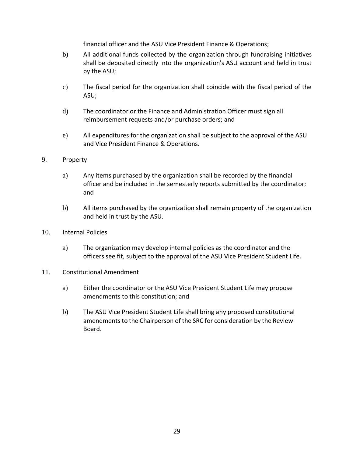financial officer and the ASU Vice President Finance & Operations;

- b) All additional funds collected by the organization through fundraising initiatives shall be deposited directly into the organization's ASU account and held in trust by the ASU;
- c) The fiscal period for the organization shall coincide with the fiscal period of the ASU;
- d) The coordinator or the Finance and Administration Officer must sign all reimbursement requests and/or purchase orders; and
- e) All expenditures for the organization shall be subject to the approval of the ASU and Vice President Finance & Operations.

### 9. Property

- a) Any items purchased by the organization shall be recorded by the financial officer and be included in the semesterly reports submitted by the coordinator; and
- b) All items purchased by the organization shall remain property of the organization and held in trust by the ASU.
- 10. Internal Policies
	- a) The organization may develop internal policies as the coordinator and the officers see fit, subject to the approval of the ASU Vice President Student Life.
- 11. Constitutional Amendment
	- a) Either the coordinator or the ASU Vice President Student Life may propose amendments to this constitution; and
	- b) The ASU Vice President Student Life shall bring any proposed constitutional amendments to the Chairperson of the SRC for consideration by the Review Board.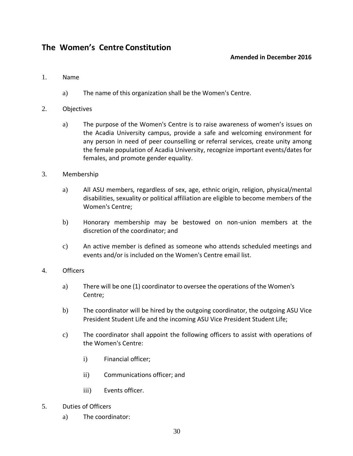# <span id="page-29-1"></span><span id="page-29-0"></span>**The Women's Centre Constitution**

## **Amended in December 2016**

### 1. Name

a) The name of this organization shall be the Women's Centre.

#### 2. Objectives

a) The purpose of the Women's Centre is to raise awareness of women's issues on the Acadia University campus, provide a safe and welcoming environment for any person in need of peer counselling or referral services, create unity among the female population of Acadia University, recognize important events/dates for females, and promote gender equality.

#### 3. Membership

- a) All ASU members, regardless of sex, age, ethnic origin, religion, physical/mental disabilities, sexuality or political affiliation are eligible to become members of the Women's Centre;
- b) Honorary membership may be bestowed on non-union members at the discretion of the coordinator; and
- c) An active member is defined as someone who attends scheduled meetings and events and/or is included on the Women's Centre email list.

#### 4. Officers

- a) There will be one (1) coordinator to oversee the operations of the Women's Centre;
- b) The coordinator will be hired by the outgoing coordinator, the outgoing ASU Vice President Student Life and the incoming ASU Vice President Student Life;
- c) The coordinator shall appoint the following officers to assist with operations of the Women's Centre:
	- i) Financial officer;
	- ii) Communications officer; and
	- iii) Events officer.
- 5. Duties of Officers
	- a) The coordinator: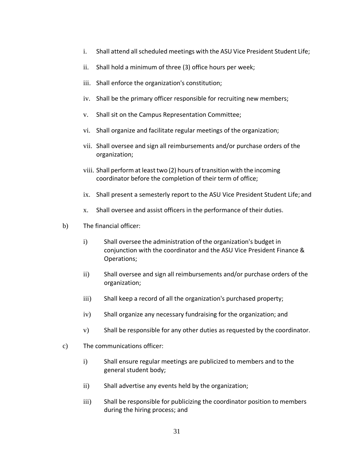- i. Shall attend all scheduled meetings with the ASU Vice President Student Life;
- ii. Shall hold a minimum of three (3) office hours per week;
- iii. Shall enforce the organization's constitution;
- iv. Shall be the primary officer responsible for recruiting new members;
- v. Shall sit on the Campus Representation Committee;
- vi. Shall organize and facilitate regular meetings of the organization;
- vii. Shall oversee and sign all reimbursements and/or purchase orders of the organization;
- viii. Shall perform at least two (2) hours of transition with the incoming coordinator before the completion of their term of office;
- ix. Shall present a semesterly report to the ASU Vice President Student Life; and
- x. Shall oversee and assist officers in the performance of their duties.
- b) The financial officer:
	- i) Shall oversee the administration of the organization's budget in conjunction with the coordinator and the ASU Vice President Finance & Operations;
	- ii) Shall oversee and sign all reimbursements and/or purchase orders of the organization;
	- iii) Shall keep a record of all the organization's purchased property;
	- iv) Shall organize any necessary fundraising for the organization; and
	- v) Shall be responsible for any other duties as requested by the coordinator.
- c) The communications officer:
	- i) Shall ensure regular meetings are publicized to members and to the general student body;
	- ii) Shall advertise any events held by the organization;
	- iii) Shall be responsible for publicizing the coordinator position to members during the hiring process; and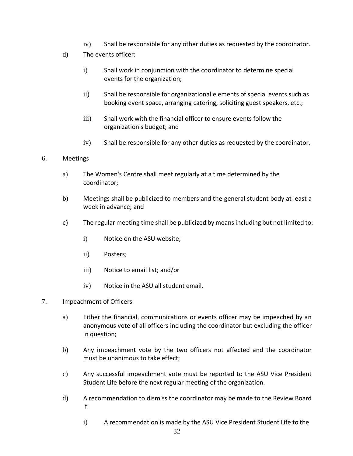- iv) Shall be responsible for any other duties as requested by the coordinator.
- d) The events officer:
	- i) Shall work in conjunction with the coordinator to determine special events for the organization;
	- ii) Shall be responsible for organizational elements of special events such as booking event space, arranging catering, soliciting guest speakers, etc.;
	- iii) Shall work with the financial officer to ensure events follow the organization's budget; and
	- iv) Shall be responsible for any other duties as requested by the coordinator.

#### 6. Meetings

- a) The Women's Centre shall meet regularly at a time determined by the coordinator;
- b) Meetings shall be publicized to members and the general student body at least a week in advance; and
- c) The regular meeting time shall be publicized by means including but not limited to:
	- i) Notice on the ASU website;
	- ii) Posters;
	- iii) Notice to email list; and/or
	- iv) Notice in the ASU all student email.
- 7. Impeachment of Officers
	- a) Either the financial, communications or events officer may be impeached by an anonymous vote of all officers including the coordinator but excluding the officer in question;
	- b) Any impeachment vote by the two officers not affected and the coordinator must be unanimous to take effect;
	- c) Any successful impeachment vote must be reported to the ASU Vice President Student Life before the next regular meeting of the organization.
	- d) A recommendation to dismiss the coordinator may be made to the Review Board if:
		- i) A recommendation is made by the ASU Vice President Student Life to the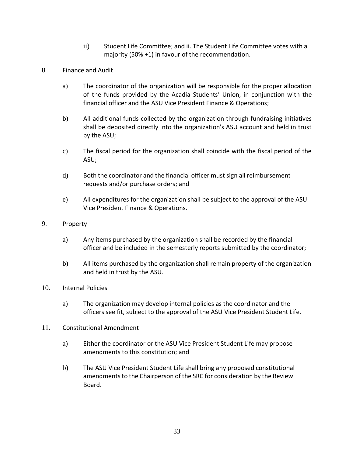- ii) Student Life Committee; and ii. The Student Life Committee votes with a majority (50% +1) in favour of the recommendation.
- 8. Finance and Audit
	- a) The coordinator of the organization will be responsible for the proper allocation of the funds provided by the Acadia Students' Union, in conjunction with the financial officer and the ASU Vice President Finance & Operations;
	- b) All additional funds collected by the organization through fundraising initiatives shall be deposited directly into the organization's ASU account and held in trust by the ASU;
	- c) The fiscal period for the organization shall coincide with the fiscal period of the ASU;
	- d) Both the coordinator and the financial officer must sign all reimbursement requests and/or purchase orders; and
	- e) All expenditures for the organization shall be subject to the approval of the ASU Vice President Finance & Operations.
- 9. Property
	- a) Any items purchased by the organization shall be recorded by the financial officer and be included in the semesterly reports submitted by the coordinator;
	- b) All items purchased by the organization shall remain property of the organization and held in trust by the ASU.
- 10. Internal Policies
	- a) The organization may develop internal policies as the coordinator and the officers see fit, subject to the approval of the ASU Vice President Student Life.
- 11. Constitutional Amendment
	- a) Either the coordinator or the ASU Vice President Student Life may propose amendments to this constitution; and
	- b) The ASU Vice President Student Life shall bring any proposed constitutional amendments to the Chairperson of the SRC for consideration by the Review Board.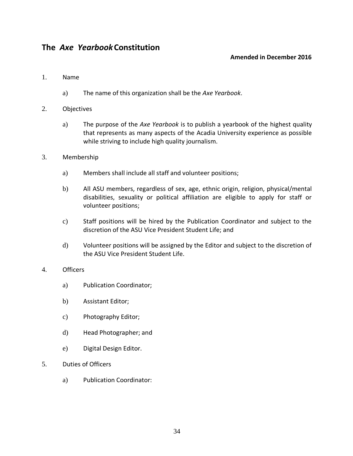# **The** *Axe Yearbook***Constitution**

### **Amended in December 2016**

#### 1. Name

- a) The name of this organization shall be the *Axe Yearbook*.
- 2. Objectives
	- a) The purpose of the *Axe Yearbook* is to publish a yearbook of the highest quality that represents as many aspects of the Acadia University experience as possible while striving to include high quality journalism.
- 3. Membership
	- a) Members shall include all staff and volunteer positions;
	- b) All ASU members, regardless of sex, age, ethnic origin, religion, physical/mental disabilities, sexuality or political affiliation are eligible to apply for staff or volunteer positions;
	- c) Staff positions will be hired by the Publication Coordinator and subject to the discretion of the ASU Vice President Student Life; and
	- d) Volunteer positions will be assigned by the Editor and subject to the discretion of the ASU Vice President Student Life.

#### 4. Officers

- a) Publication Coordinator;
- b) Assistant Editor;
- c) Photography Editor;
- d) Head Photographer; and
- e) Digital Design Editor.
- 5. Duties of Officers
	- a) Publication Coordinator: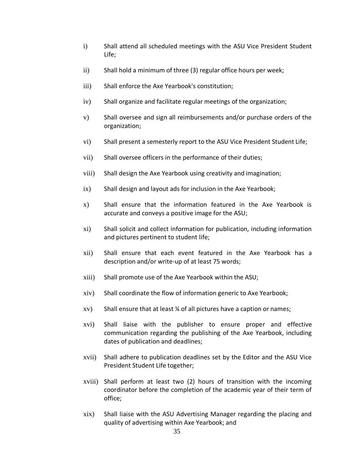- i) Shall attend all scheduled meetings with the ASU Vice President Student Life;
- ii) Shall hold a minimum of three (3) regular office hours per week;
- iii) Shall enforce the Axe Yearbook's constitution;
- iv) Shall organize and facilitate regular meetings of the organization;
- v) Shall oversee and sign all reimbursements and/or purchase orders of the organization;
- vi) Shall present a semesterly report to the ASU Vice President Student Life;
- vii) Shall oversee officers in the performance of their duties;
- viii) Shall design the Axe Yearbook using creativity and imagination;
- ix) Shall design and layout ads for inclusion in the Axe Yearbook;
- x) Shall ensure that the information featured in the Axe Yearbook is accurate and conveys a positive image for the ASU;
- xi) Shall solicit and collect information for publication, including information and pictures pertinent to student life;
- xii) Shall ensure that each event featured in the Axe Yearbook has a description and/or write-up of at least 75 words;
- xiii) Shall promote use of the Axe Yearbook within the ASU;
- xiv) Shall coordinate the flow of information generic to Axe Yearbook;
- xv) Shall ensure that at least ¼ of all pictures have a caption or names;
- xvi) Shall liaise with the publisher to ensure proper and effective communication regarding the publishing of the Axe Yearbook, including dates of publication and deadlines;
- xvii) Shall adhere to publication deadlines set by the Editor and the ASU Vice President Student Life together;
- xviii) Shall perform at least two (2) hours of transition with the incoming coordinator before the completion of the academic year of their term of office;
- xix) Shall liaise with the ASU Advertising Manager regarding the placing and quality of advertising within Axe Yearbook; and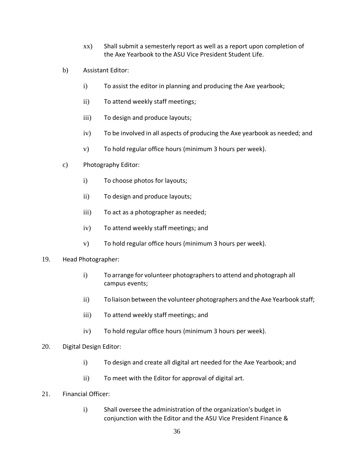- xx) Shall submit a semesterly report as well as a report upon completion of the Axe Yearbook to the ASU Vice President Student Life.
- b) Assistant Editor:
	- i) To assist the editor in planning and producing the Axe yearbook;
	- ii) To attend weekly staff meetings;
	- iii) To design and produce layouts;
	- iv) To be involved in all aspects of producing the Axe yearbook as needed; and
	- v) To hold regular office hours (minimum 3 hours per week).
- c) Photography Editor:
	- i) To choose photos for layouts;
	- ii) To design and produce layouts;
	- iii) To act as a photographer as needed;
	- iv) To attend weekly staff meetings; and
	- v) To hold regular office hours (minimum 3 hours per week).
- 19. Head Photographer:
	- i) To arrange for volunteer photographers to attend and photograph all campus events;
	- ii) To liaison between the volunteer photographers and the Axe Yearbook staff;
	- iii) To attend weekly staff meetings; and
	- iv) To hold regular office hours (minimum 3 hours per week).
- 20. Digital Design Editor:
	- i) To design and create all digital art needed for the Axe Yearbook; and
	- ii) To meet with the Editor for approval of digital art.
- 21. Financial Officer:
	- i) Shall oversee the administration of the organization's budget in conjunction with the Editor and the ASU Vice President Finance &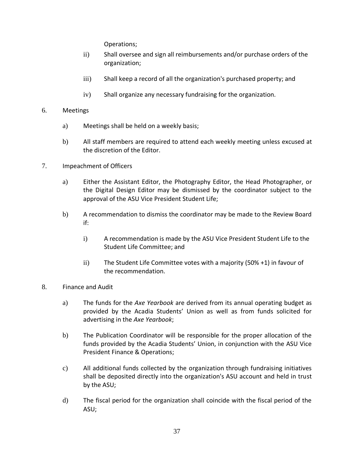Operations;

- ii) Shall oversee and sign all reimbursements and/or purchase orders of the organization;
- iii) Shall keep a record of all the organization's purchased property; and
- iv) Shall organize any necessary fundraising for the organization.
- 6. Meetings
	- a) Meetings shall be held on a weekly basis;
	- b) All staff members are required to attend each weekly meeting unless excused at the discretion of the Editor.
- 7. Impeachment of Officers
	- a) Either the Assistant Editor, the Photography Editor, the Head Photographer, or the Digital Design Editor may be dismissed by the coordinator subject to the approval of the ASU Vice President Student Life;
	- b) A recommendation to dismiss the coordinator may be made to the Review Board if:
		- i) A recommendation is made by the ASU Vice President Student Life to the Student Life Committee; and
		- ii) The Student Life Committee votes with a majority (50% +1) in favour of the recommendation.
- 8. Finance and Audit
	- a) The funds for the *Axe Yearbook* are derived from its annual operating budget as provided by the Acadia Students' Union as well as from funds solicited for advertising in the *Axe Yearbook*;
	- b) The Publication Coordinator will be responsible for the proper allocation of the funds provided by the Acadia Students' Union, in conjunction with the ASU Vice President Finance & Operations;
	- c) All additional funds collected by the organization through fundraising initiatives shall be deposited directly into the organization's ASU account and held in trust by the ASU;
	- d) The fiscal period for the organization shall coincide with the fiscal period of the ASU;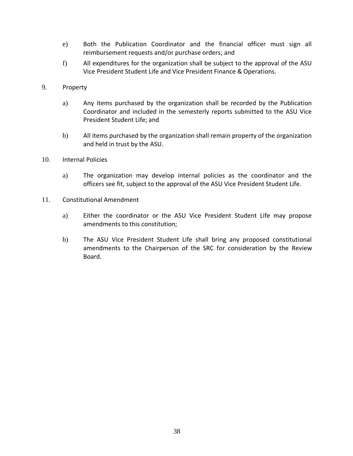- e) Both the Publication Coordinator and the financial officer must sign all reimbursement requests and/or purchase orders; and
- f) All expenditures for the organization shall be subject to the approval of the ASU Vice President Student Life and Vice President Finance & Operations.
- 9. Property
	- a) Any items purchased by the organization shall be recorded by the Publication Coordinator and included in the semesterly reports submitted to the ASU Vice President Student Life; and
	- b) All items purchased by the organization shall remain property of the organization and held in trust by the ASU.
- 10. Internal Policies
	- a) The organization may develop internal policies as the coordinator and the officers see fit, subject to the approval of the ASU Vice President Student Life.
- 11. Constitutional Amendment
	- a) Either the coordinator or the ASU Vice President Student Life may propose amendments to this constitution;
	- b) The ASU Vice President Student Life shall bring any proposed constitutional amendments to the Chairperson of the SRC for consideration by the Review Board.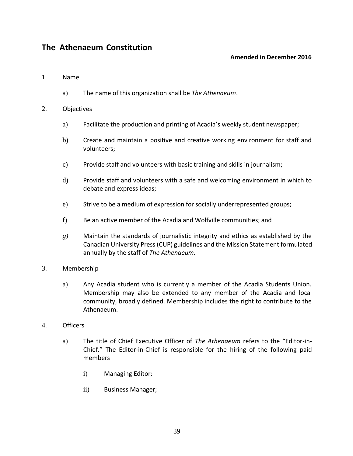# <span id="page-38-1"></span><span id="page-38-0"></span>**The Athenaeum Constitution**

### **Amended in December 2016**

#### 1. Name

a) The name of this organization shall be *The Athenaeum*.

#### 2. Objectives

- a) Facilitate the production and printing of Acadia's weekly student newspaper;
- b) Create and maintain a positive and creative working environment for staff and volunteers;
- c) Provide staff and volunteers with basic training and skills in journalism;
- d) Provide staff and volunteers with a safe and welcoming environment in which to debate and express ideas;
- e) Strive to be a medium of expression for socially underrepresented groups;
- f) Be an active member of the Acadia and Wolfville communities; and
- *g)* Maintain the standards of journalistic integrity and ethics as established by the Canadian University Press (CUP) guidelines and the Mission Statement formulated annually by the staff of *The Athenaeum.*
- 3. Membership
	- a) Any Acadia student who is currently a member of the Acadia Students Union. Membership may also be extended to any member of the Acadia and local community, broadly defined. Membership includes the right to contribute to the Athenaeum.
- 4. Officers
	- a) The title of Chief Executive Officer of *The Athenaeum* refers to the "Editor-in-Chief." The Editor-in-Chief is responsible for the hiring of the following paid members
		- i) Managing Editor;
		- ii) Business Manager;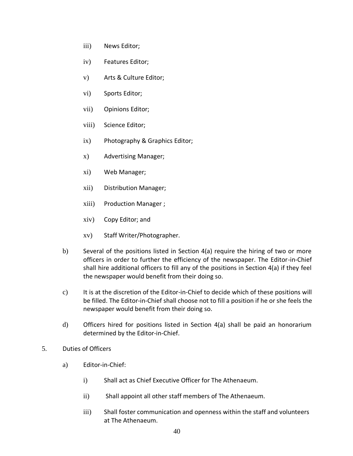- iii) News Editor;
- iv) Features Editor;
- v) Arts & Culture Editor;
- vi) Sports Editor;
- vii) Opinions Editor;
- viii) Science Editor;
- ix) Photography & Graphics Editor;
- x) Advertising Manager;
- xi) Web Manager;
- xii) Distribution Manager;
- xiii) Production Manager ;
- xiv) Copy Editor; and
- xv) Staff Writer/Photographer.
- b) Several of the positions listed in Section 4(a) require the hiring of two or more officers in order to further the efficiency of the newspaper. The Editor-in-Chief shall hire additional officers to fill any of the positions in Section 4(a) if they feel the newspaper would benefit from their doing so.
- c) It is at the discretion of the Editor-in-Chief to decide which of these positions will be filled. The Editor-in-Chief shall choose not to fill a position if he or she feels the newspaper would benefit from their doing so.
- d) Officers hired for positions listed in Section 4(a) shall be paid an honorarium determined by the Editor-in-Chief.
- 5. Duties of Officers
	- a) Editor-in-Chief:
		- i) Shall act as Chief Executive Officer for The Athenaeum.
		- ii) Shall appoint all other staff members of The Athenaeum.
		- iii) Shall foster communication and openness within the staff and volunteers at The Athenaeum.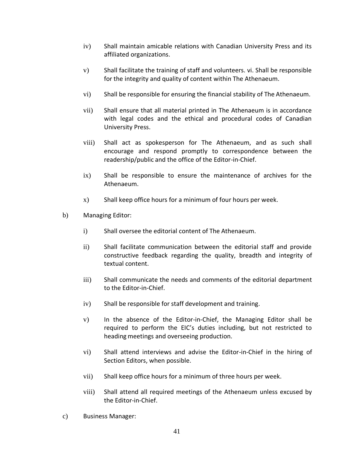- iv) Shall maintain amicable relations with Canadian University Press and its affiliated organizations.
- v) Shall facilitate the training of staff and volunteers. vi. Shall be responsible for the integrity and quality of content within The Athenaeum.
- vi) Shall be responsible for ensuring the financial stability of The Athenaeum.
- vii) Shall ensure that all material printed in The Athenaeum is in accordance with legal codes and the ethical and procedural codes of Canadian University Press.
- viii) Shall act as spokesperson for The Athenaeum, and as such shall encourage and respond promptly to correspondence between the readership/public and the office of the Editor-in-Chief.
- ix) Shall be responsible to ensure the maintenance of archives for the Athenaeum.
- x) Shall keep office hours for a minimum of four hours per week.
- b) Managing Editor:
	- i) Shall oversee the editorial content of The Athenaeum.
	- ii) Shall facilitate communication between the editorial staff and provide constructive feedback regarding the quality, breadth and integrity of textual content.
	- iii) Shall communicate the needs and comments of the editorial department to the Editor-in-Chief.
	- iv) Shall be responsible for staff development and training.
	- v) In the absence of the Editor-in-Chief, the Managing Editor shall be required to perform the EIC's duties including, but not restricted to heading meetings and overseeing production.
	- vi) Shall attend interviews and advise the Editor-in-Chief in the hiring of Section Editors, when possible.
	- vii) Shall keep office hours for a minimum of three hours per week.
	- viii) Shall attend all required meetings of the Athenaeum unless excused by the Editor-in-Chief.
- c) Business Manager: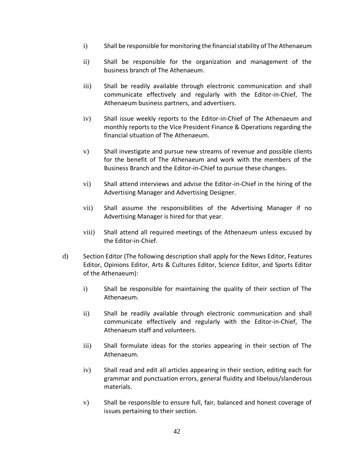- i) Shall be responsible for monitoring the financial stability of The Athenaeum
- ii) Shall be responsible for the organization and management of the business branch of The Athenaeum.
- iii) Shall be readily available through electronic communication and shall communicate effectively and regularly with the Editor-in-Chief, The Athenaeum business partners, and advertisers.
- iv) Shall issue weekly reports to the Editor-in-Chief of The Athenaeum and monthly reports to the Vice President Finance & Operations regarding the financial situation of The Athenaeum.
- v) Shall investigate and pursue new streams of revenue and possible clients for the benefit of The Athenaeum and work with the members of the Business Branch and the Editor-in-Chief to pursue these changes.
- vi) Shall attend interviews and advise the Editor-in-Chief in the hiring of the Advertising Manager and Advertising Designer.
- vii) Shall assume the responsibilities of the Advertising Manager if no Advertising Manager is hired for that year.
- viii) Shall attend all required meetings of the Athenaeum unless excused by the Editor-in-Chief.
- d) Section Editor (The following description shall apply for the News Editor, Features Editor, Opinions Editor, Arts & Cultures Editor, Science Editor, and Sports Editor of the Athenaeum):
	- i) Shall be responsible for maintaining the quality of their section of The Athenaeum.
	- ii) Shall be readily available through electronic communication and shall communicate effectively and regularly with the Editor-in-Chief, The Athenaeum staff and volunteers.
	- iii) Shall formulate ideas for the stories appearing in their section of The Athenaeum.
	- iv) Shall read and edit all articles appearing in their section, editing each for grammar and punctuation errors, general fluidity and libelous/slanderous materials.
	- v) Shall be responsible to ensure full, fair, balanced and honest coverage of issues pertaining to their section.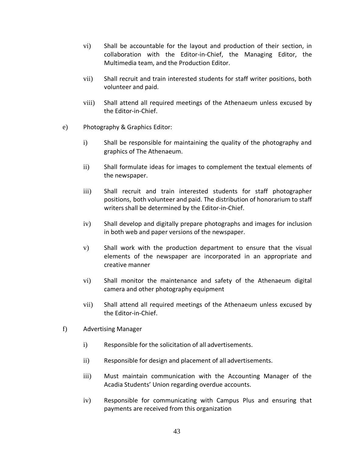- vi) Shall be accountable for the layout and production of their section, in collaboration with the Editor-in-Chief, the Managing Editor, the Multimedia team, and the Production Editor.
- vii) Shall recruit and train interested students for staff writer positions, both volunteer and paid.
- viii) Shall attend all required meetings of the Athenaeum unless excused by the Editor-in-Chief.
- e) Photography & Graphics Editor:
	- i) Shall be responsible for maintaining the quality of the photography and graphics of The Athenaeum.
	- ii) Shall formulate ideas for images to complement the textual elements of the newspaper.
	- iii) Shall recruit and train interested students for staff photographer positions, both volunteer and paid. The distribution of honorarium to staff writers shall be determined by the Editor-in-Chief.
	- iv) Shall develop and digitally prepare photographs and images for inclusion in both web and paper versions of the newspaper.
	- v) Shall work with the production department to ensure that the visual elements of the newspaper are incorporated in an appropriate and creative manner
	- vi) Shall monitor the maintenance and safety of the Athenaeum digital camera and other photography equipment
	- vii) Shall attend all required meetings of the Athenaeum unless excused by the Editor-in-Chief.
- f) Advertising Manager
	- i) Responsible for the solicitation of all advertisements.
	- ii) Responsible for design and placement of all advertisements.
	- iii) Must maintain communication with the Accounting Manager of the Acadia Students' Union regarding overdue accounts.
	- iv) Responsible for communicating with Campus Plus and ensuring that payments are received from this organization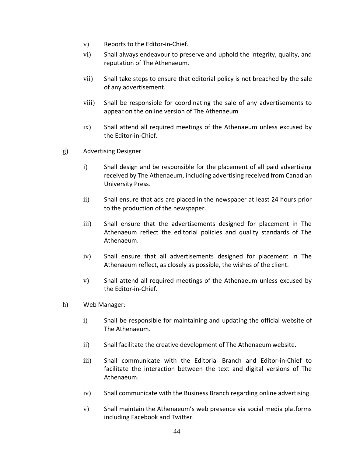- v) Reports to the Editor-in-Chief.
- vi) Shall always endeavour to preserve and uphold the integrity, quality, and reputation of The Athenaeum.
- vii) Shall take steps to ensure that editorial policy is not breached by the sale of any advertisement.
- viii) Shall be responsible for coordinating the sale of any advertisements to appear on the online version of The Athenaeum
- ix) Shall attend all required meetings of the Athenaeum unless excused by the Editor-in-Chief.
- g) Advertising Designer
	- i) Shall design and be responsible for the placement of all paid advertising received by The Athenaeum, including advertising received from Canadian University Press.
	- ii) Shall ensure that ads are placed in the newspaper at least 24 hours prior to the production of the newspaper.
	- iii) Shall ensure that the advertisements designed for placement in The Athenaeum reflect the editorial policies and quality standards of The Athenaeum.
	- iv) Shall ensure that all advertisements designed for placement in The Athenaeum reflect, as closely as possible, the wishes of the client.
	- v) Shall attend all required meetings of the Athenaeum unless excused by the Editor-in-Chief.
- h) Web Manager:
	- i) Shall be responsible for maintaining and updating the official website of The Athenaeum.
	- ii) Shall facilitate the creative development of The Athenaeum website.
	- iii) Shall communicate with the Editorial Branch and Editor-in-Chief to facilitate the interaction between the text and digital versions of The Athenaeum.
	- iv) Shall communicate with the Business Branch regarding online advertising.
	- v) Shall maintain the Athenaeum's web presence via social media platforms including Facebook and Twitter.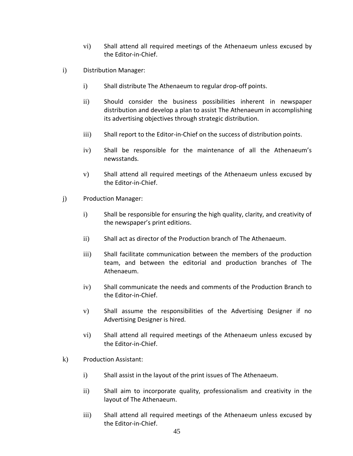- vi) Shall attend all required meetings of the Athenaeum unless excused by the Editor-in-Chief.
- i) Distribution Manager:
	- i) Shall distribute The Athenaeum to regular drop-off points.
	- ii) Should consider the business possibilities inherent in newspaper distribution and develop a plan to assist The Athenaeum in accomplishing its advertising objectives through strategic distribution.
	- iii) Shall report to the Editor-in-Chief on the success of distribution points.
	- iv) Shall be responsible for the maintenance of all the Athenaeum's newsstands.
	- v) Shall attend all required meetings of the Athenaeum unless excused by the Editor-in-Chief.
- j) Production Manager:
	- i) Shall be responsible for ensuring the high quality, clarity, and creativity of the newspaper's print editions.
	- ii) Shall act as director of the Production branch of The Athenaeum.
	- iii) Shall facilitate communication between the members of the production team, and between the editorial and production branches of The Athenaeum.
	- iv) Shall communicate the needs and comments of the Production Branch to the Editor-in-Chief.
	- v) Shall assume the responsibilities of the Advertising Designer if no Advertising Designer is hired.
	- vi) Shall attend all required meetings of the Athenaeum unless excused by the Editor-in-Chief.
- k) Production Assistant:
	- i) Shall assist in the layout of the print issues of The Athenaeum.
	- ii) Shall aim to incorporate quality, professionalism and creativity in the layout of The Athenaeum.
	- iii) Shall attend all required meetings of the Athenaeum unless excused by the Editor-in-Chief.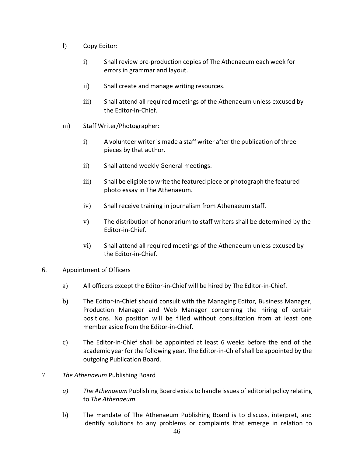- l) Copy Editor:
	- i) Shall review pre-production copies of The Athenaeum each week for errors in grammar and layout.
	- ii) Shall create and manage writing resources.
	- iii) Shall attend all required meetings of the Athenaeum unless excused by the Editor-in-Chief.
- m) Staff Writer/Photographer:
	- i) A volunteer writer is made a staff writer after the publication of three pieces by that author.
	- ii) Shall attend weekly General meetings.
	- iii) Shall be eligible to write the featured piece or photograph the featured photo essay in The Athenaeum.
	- iv) Shall receive training in journalism from Athenaeum staff.
	- v) The distribution of honorarium to staff writers shall be determined by the Editor-in-Chief.
	- vi) Shall attend all required meetings of the Athenaeum unless excused by the Editor-in-Chief.
- 6. Appointment of Officers
	- a) All officers except the Editor-in-Chief will be hired by The Editor-in-Chief.
	- b) The Editor-in-Chief should consult with the Managing Editor, Business Manager, Production Manager and Web Manager concerning the hiring of certain positions. No position will be filled without consultation from at least one member aside from the Editor-in-Chief.
	- c) The Editor-in-Chief shall be appointed at least 6 weeks before the end of the academic year for the following year. The Editor-in-Chief shall be appointed by the outgoing Publication Board.
- 7. *The Athenaeum* Publishing Board
	- *a) The Athenaeum* Publishing Board exists to handle issues of editorial policy relating to *The Athenaeum.*
	- b) The mandate of The Athenaeum Publishing Board is to discuss, interpret, and identify solutions to any problems or complaints that emerge in relation to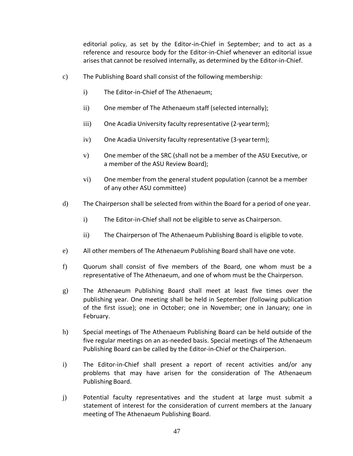editorial policy, as set by the Editor-in-Chief in September; and to act as a reference and resource body for the Editor-in-Chief whenever an editorial issue arisesthat cannot be resolved internally, as determined by the Editor-in-Chief.

- c) The Publishing Board shall consist of the following membership:
	- i) The Editor-in-Chief of The Athenaeum;
	- ii) One member of The Athenaeum staff (selected internally);
	- iii) One Acadia University faculty representative (2-year term);
	- iv) One Acadia University faculty representative (3-yearterm);
	- v) One member of the SRC (shall not be a member of the ASU Executive, or a member of the ASU Review Board);
	- vi) One member from the general student population (cannot be a member of any other ASU committee)
- d) The Chairperson shall be selected from within the Board for a period of one year.
	- i) The Editor-in-Chief shall not be eligible to serve as Chairperson.
	- ii) The Chairperson of The Athenaeum Publishing Board is eligible to vote.
- e) All other members of The Athenaeum Publishing Board shall have one vote.
- f) Quorum shall consist of five members of the Board, one whom must be a representative of The Athenaeum, and one of whom must be the Chairperson.
- g) The Athenaeum Publishing Board shall meet at least five times over the publishing year. One meeting shall be held in September (following publication of the first issue); one in October; one in November; one in January; one in February.
- h) Special meetings of The Athenaeum Publishing Board can be held outside of the five regular meetings on an as-needed basis. Special meetings of The Athenaeum Publishing Board can be called by the Editor-in-Chief or the Chairperson.
- i) The Editor-in-Chief shall present a report of recent activities and/or any problems that may have arisen for the consideration of The Athenaeum Publishing Board.
- j) Potential faculty representatives and the student at large must submit a statement of interest for the consideration of current members at the January meeting of The Athenaeum Publishing Board.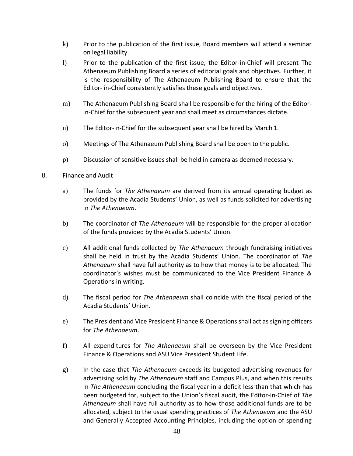- k) Prior to the publication of the first issue, Board members will attend a seminar on legal liability.
- l) Prior to the publication of the first issue, the Editor-in-Chief will present The Athenaeum Publishing Board a series of editorial goals and objectives. Further, it is the responsibility of The Athenaeum Publishing Board to ensure that the Editor- in-Chief consistently satisfies these goals and objectives.
- m) The Athenaeum Publishing Board shall be responsible for the hiring of the Editorin-Chief for the subsequent year and shall meet as circumstances dictate.
- n) The Editor-in-Chief for the subsequent year shall be hired by March 1.
- o) Meetings of The Athenaeum Publishing Board shall be open to the public.
- p) Discussion of sensitive issues shall be held in camera as deemed necessary.
- 8. Finance and Audit
	- a) The funds for *The Athenaeum* are derived from its annual operating budget as provided by the Acadia Students' Union, as well as funds solicited for advertising in *The Athenaeum*.
	- b) The coordinator of *The Athenaeum* will be responsible for the proper allocation of the funds provided by the Acadia Students' Union.
	- c) All additional funds collected by *The Athenaeum* through fundraising initiatives shall be held in trust by the Acadia Students' Union. The coordinator of *The Athenaeum* shall have full authority as to how that money is to be allocated. The coordinator's wishes must be communicated to the Vice President Finance & Operations in writing.
	- d) The fiscal period for *The Athenaeum* shall coincide with the fiscal period of the Acadia Students' Union.
	- e) The President and Vice President Finance & Operations shall act as signing officers for *The Athenaeum*.
	- f) All expenditures for *The Athenaeum* shall be overseen by the Vice President Finance & Operations and ASU Vice President Student Life.
	- g) In the case that *The Athenaeum* exceeds its budgeted advertising revenues for advertising sold by *The Athenaeum* staff and Campus Plus, and when this results in *The Athenaeum* concluding the fiscal year in a deficit less than that which has been budgeted for, subject to the Union's fiscal audit, the Editor-in-Chief of *The Athenaeum* shall have full authority as to how those additional funds are to be allocated, subject to the usual spending practices of *The Athenaeum* and the ASU and Generally Accepted Accounting Principles, including the option of spending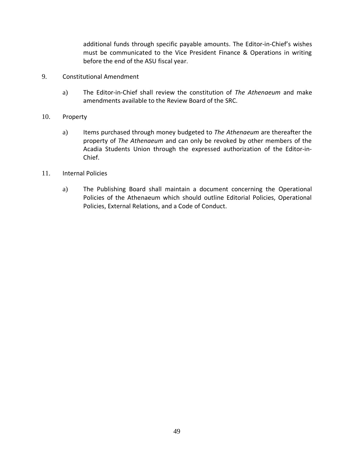additional funds through specific payable amounts. The Editor-in-Chief's wishes must be communicated to the Vice President Finance & Operations in writing before the end of the ASU fiscal year.

- 9. Constitutional Amendment
	- a) The Editor-in-Chief shall review the constitution of *The Athenaeum* and make amendments available to the Review Board of the SRC.
- 10. Property
	- a) Items purchased through money budgeted to *The Athenaeum* are thereafter the property of *The Athenaeum* and can only be revoked by other members of the Acadia Students Union through the expressed authorization of the Editor-in-Chief.
- 11. Internal Policies
	- a) The Publishing Board shall maintain a document concerning the Operational Policies of the Athenaeum which should outline Editorial Policies, Operational Policies, External Relations, and a Code of Conduct.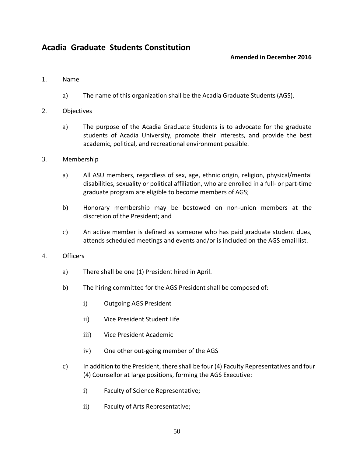# <span id="page-49-1"></span><span id="page-49-0"></span>**Acadia Graduate Students Constitution**

### **Amended in December 2016**

#### 1. Name

- a) The name of this organization shall be the Acadia Graduate Students(AGS).
- 2. Objectives
	- a) The purpose of the Acadia Graduate Students is to advocate for the graduate students of Acadia University, promote their interests, and provide the best academic, political, and recreational environment possible.
- 3. Membership
	- a) All ASU members, regardless of sex, age, ethnic origin, religion, physical/mental disabilities, sexuality or political affiliation, who are enrolled in a full- or part-time graduate program are eligible to become members of AGS;
	- b) Honorary membership may be bestowed on non-union members at the discretion of the President; and
	- c) An active member is defined as someone who has paid graduate student dues, attends scheduled meetings and events and/or is included on the AGS email list.
- 4. Officers
	- a) There shall be one (1) President hired in April.
	- b) The hiring committee for the AGS President shall be composed of:
		- i) Outgoing AGS President
		- ii) Vice President Student Life
		- iii) Vice President Academic
		- iv) One other out-going member of the AGS
	- c) In addition to the President, there shall be four (4) Faculty Representatives and four (4) Counsellor at large positions, forming the AGS Executive:
		- i) Faculty of Science Representative;
		- ii) Faculty of Arts Representative;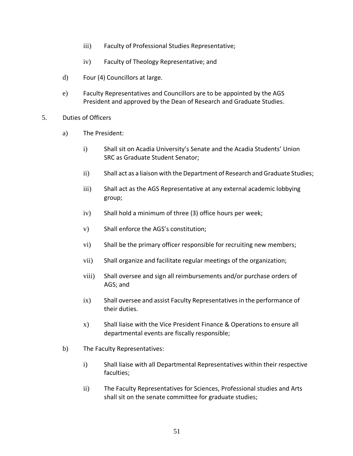- iii) Faculty of Professional Studies Representative;
- iv) Faculty of Theology Representative; and
- d) Four (4) Councillors at large.
- e) Faculty Representatives and Councillors are to be appointed by the AGS President and approved by the Dean of Research and Graduate Studies.
- 5. Duties of Officers
	- a) The President:
		- i) Shall sit on Acadia University's Senate and the Acadia Students' Union SRC as Graduate Student Senator;
		- ii) Shall act as a liaison with the Department of Research andGraduate Studies;
		- iii) Shall act as the AGS Representative at any external academic lobbying group;
		- iv) Shall hold a minimum of three (3) office hours per week;
		- v) Shall enforce the AGS's constitution;
		- vi) Shall be the primary officer responsible for recruiting new members;
		- vii) Shall organize and facilitate regular meetings of the organization;
		- viii) Shall oversee and sign all reimbursements and/or purchase orders of AGS; and
		- ix) Shall oversee and assist Faculty Representatives in the performance of their duties.
		- x) Shall liaise with the Vice President Finance & Operations to ensure all departmental events are fiscally responsible;
	- b) The Faculty Representatives:
		- i) Shall liaise with all Departmental Representatives within their respective faculties;
		- ii) The Faculty Representatives for Sciences, Professional studies and Arts shall sit on the senate committee for graduate studies;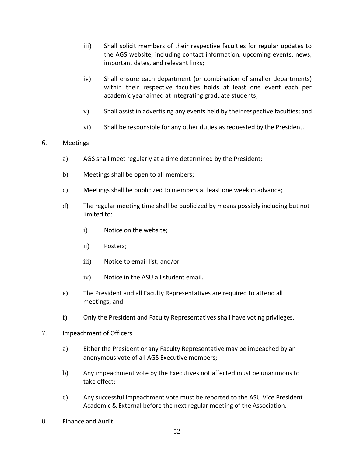- iii) Shall solicit members of their respective faculties for regular updates to the AGS website, including contact information, upcoming events, news, important dates, and relevant links;
- iv) Shall ensure each department (or combination of smaller departments) within their respective faculties holds at least one event each per academic year aimed at integrating graduate students;
- v) Shall assist in advertising any events held by their respective faculties; and
- vi) Shall be responsible for any other duties as requested by the President.

#### 6. Meetings

- a) AGS shall meet regularly at a time determined by the President;
- b) Meetings shall be open to all members;
- c) Meetings shall be publicized to members at least one week in advance;
- d) The regular meeting time shall be publicized by means possibly including but not limited to:
	- i) Notice on the website;
	- ii) Posters;
	- iii) Notice to email list; and/or
	- iv) Notice in the ASU all student email.
- e) The President and all Faculty Representatives are required to attend all meetings; and
- f) Only the President and Faculty Representatives shall have voting privileges.
- 7. Impeachment of Officers
	- a) Either the President or any Faculty Representative may be impeached by an anonymous vote of all AGS Executive members;
	- b) Any impeachment vote by the Executives not affected must be unanimous to take effect;
	- c) Any successful impeachment vote must be reported to the ASU Vice President Academic & External before the next regular meeting of the Association.
- 8. Finance and Audit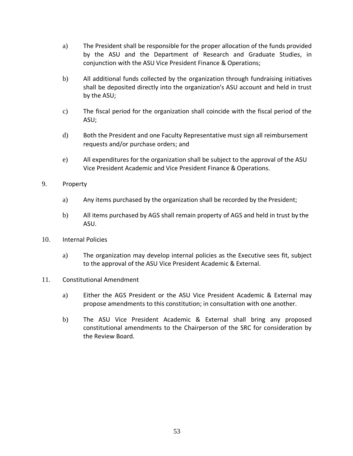- a) The President shall be responsible for the proper allocation of the funds provided by the ASU and the Department of Research and Graduate Studies, in conjunction with the ASU Vice President Finance & Operations;
- b) All additional funds collected by the organization through fundraising initiatives shall be deposited directly into the organization's ASU account and held in trust by the ASU;
- c) The fiscal period for the organization shall coincide with the fiscal period of the ASU;
- d) Both the President and one Faculty Representative must sign all reimbursement requests and/or purchase orders; and
- e) All expenditures for the organization shall be subject to the approval of the ASU Vice President Academic and Vice President Finance & Operations.
- 9. Property
	- a) Any items purchased by the organization shall be recorded by the President;
	- b) All items purchased by AGS shall remain property of AGS and held in trust by the ASU.
- 10. Internal Policies
	- a) The organization may develop internal policies as the Executive sees fit, subject to the approval of the ASU Vice President Academic & External.
- 11. Constitutional Amendment
	- a) Either the AGS President or the ASU Vice President Academic & External may propose amendments to this constitution; in consultation with one another.
	- b) The ASU Vice President Academic & External shall bring any proposed constitutional amendments to the Chairperson of the SRC for consideration by the Review Board.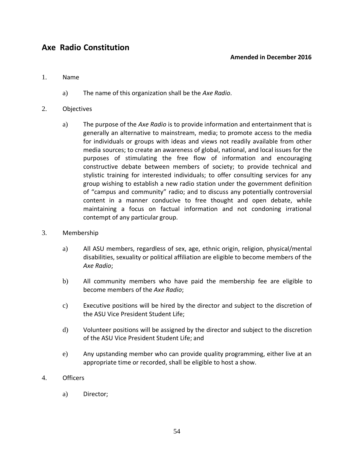# <span id="page-53-1"></span><span id="page-53-0"></span>**Axe Radio Constitution**

#### **Amended in December 2016**

#### 1. Name

a) The name of this organization shall be the *Axe Radio*.

#### 2. Objectives

a) The purpose of the *Axe Radio* is to provide information and entertainment that is generally an alternative to mainstream, media; to promote access to the media for individuals or groups with ideas and views not readily available from other media sources; to create an awareness of global, national, and local issues for the purposes of stimulating the free flow of information and encouraging constructive debate between members of society; to provide technical and stylistic training for interested individuals; to offer consulting services for any group wishing to establish a new radio station under the government definition of "campus and community" radio; and to discuss any potentially controversial content in a manner conducive to free thought and open debate, while maintaining a focus on factual information and not condoning irrational contempt of any particular group.

#### 3. Membership

- a) All ASU members, regardless of sex, age, ethnic origin, religion, physical/mental disabilities, sexuality or political affiliation are eligible to become members of the *Axe Radio*;
- b) All community members who have paid the membership fee are eligible to become members of the *Axe Radio*;
- c) Executive positions will be hired by the director and subject to the discretion of the ASU Vice President Student Life;
- d) Volunteer positions will be assigned by the director and subject to the discretion of the ASU Vice President Student Life; and
- e) Any upstanding member who can provide quality programming, either live at an appropriate time or recorded, shall be eligible to host a show.
- 4. Officers
	- a) Director;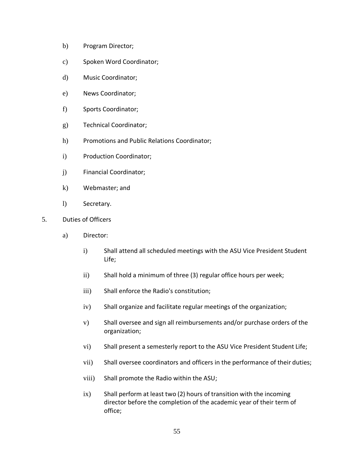- b) Program Director;
- c) Spoken Word Coordinator;
- d) Music Coordinator;
- e) News Coordinator;
- f) Sports Coordinator;
- g) Technical Coordinator;
- h) Promotions and Public Relations Coordinator;
- i) Production Coordinator;
- j) Financial Coordinator;
- k) Webmaster; and
- l) Secretary.
- 5. Duties of Officers
	- a) Director:
		- i) Shall attend all scheduled meetings with the ASU Vice President Student Life;
		- ii) Shall hold a minimum of three (3) regular office hours per week;
		- iii) Shall enforce the Radio's constitution;
		- iv) Shall organize and facilitate regular meetings of the organization;
		- v) Shall oversee and sign all reimbursements and/or purchase orders of the organization;
		- vi) Shall present a semesterly report to the ASU Vice President Student Life;
		- vii) Shall oversee coordinators and officers in the performance of their duties;
		- viii) Shall promote the Radio within the ASU;
		- ix) Shall perform at least two (2) hours of transition with the incoming director before the completion of the academic year of their term of office;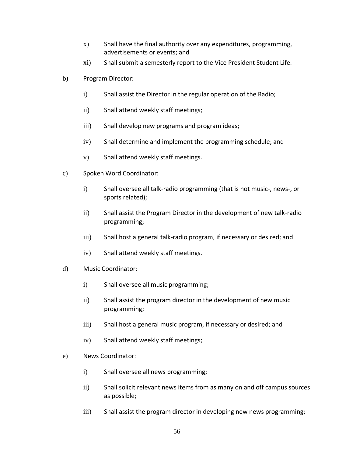- x) Shall have the final authority over any expenditures, programming, advertisements or events; and
- xi) Shall submit a semesterly report to the Vice President Student Life.
- b) Program Director:
	- i) Shall assist the Director in the regular operation of the Radio;
	- ii) Shall attend weekly staff meetings;
	- iii) Shall develop new programs and program ideas;
	- iv) Shall determine and implement the programming schedule; and
	- v) Shall attend weekly staff meetings.
- c) Spoken Word Coordinator:
	- i) Shall oversee all talk-radio programming (that is not music-, news-, or sports related);
	- ii) Shall assist the Program Director in the development of new talk-radio programming;
	- iii) Shall host a general talk-radio program, if necessary or desired; and
	- iv) Shall attend weekly staff meetings.
- d) Music Coordinator:
	- i) Shall oversee all music programming;
	- ii) Shall assist the program director in the development of new music programming;
	- iii) Shall host a general music program, if necessary or desired; and
	- iv) Shall attend weekly staff meetings;
- e) News Coordinator:
	- i) Shall oversee all news programming;
	- ii) Shall solicit relevant news items from as many on and off campus sources as possible;
	- iii) Shall assist the program director in developing new news programming;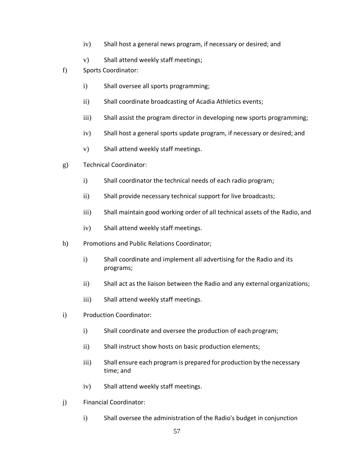- iv) Shall host a general news program, if necessary or desired; and
- v) Shall attend weekly staff meetings;
- f) Sports Coordinator:
	- i) Shall oversee all sports programming;
	- ii) Shall coordinate broadcasting of Acadia Athletics events;
	- iii) Shall assist the program director in developing new sports programming;
	- iv) Shall host a general sports update program, if necessary or desired; and
	- v) Shall attend weekly staff meetings.
- g) Technical Coordinator:
	- i) Shall coordinator the technical needs of each radio program;
	- ii) Shall provide necessary technical support for live broadcasts;
	- iii) Shall maintain good working order of all technical assets of the Radio, and
	- iv) Shall attend weekly staff meetings.
- h) Promotions and Public Relations Coordinator;
	- i) Shall coordinate and implement all advertising for the Radio and its programs;
	- ii) Shall act as the liaison between the Radio and any external organizations;
	- iii) Shall attend weekly staff meetings.
- i) Production Coordinator:
	- i) Shall coordinate and oversee the production of each program;
	- ii) Shall instruct show hosts on basic production elements;
	- iii) Shall ensure each program is prepared for production by the necessary time; and
	- iv) Shall attend weekly staff meetings.
- j) Financial Coordinator:
	- i) Shall oversee the administration of the Radio's budget in conjunction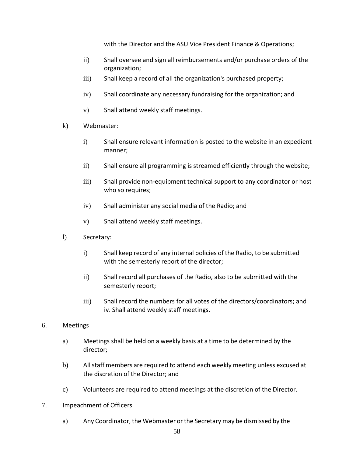with the Director and the ASU Vice President Finance & Operations;

- ii) Shall oversee and sign all reimbursements and/or purchase orders of the organization;
- iii) Shall keep a record of all the organization's purchased property;
- iv) Shall coordinate any necessary fundraising for the organization; and
- v) Shall attend weekly staff meetings.
- k) Webmaster:
	- i) Shall ensure relevant information is posted to the website in an expedient manner;
	- ii) Shall ensure all programming is streamed efficiently through the website;
	- iii) Shall provide non-equipment technical support to any coordinator or host who so requires;
	- iv) Shall administer any social media of the Radio; and
	- v) Shall attend weekly staff meetings.
- l) Secretary:
	- i) Shall keep record of any internal policies of the Radio, to be submitted with the semesterly report of the director;
	- ii) Shall record all purchases of the Radio, also to be submitted with the semesterly report;
	- iii) Shall record the numbers for all votes of the directors/coordinators; and iv. Shall attend weekly staff meetings.

#### 6. Meetings

- a) Meetings shall be held on a weekly basis at a time to be determined by the director;
- b) Allstaff members are required to attend each weekly meeting unless excused at the discretion of the Director; and
- c) Volunteers are required to attend meetings at the discretion of the Director.
- 7. Impeachment of Officers
	- a) Any Coordinator, the Webmaster or the Secretary may be dismissed by the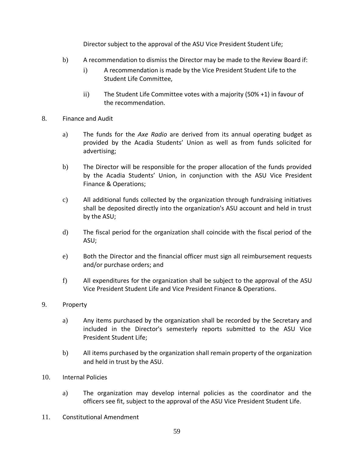Director subject to the approval of the ASU Vice President Student Life;

- b) A recommendation to dismiss the Director may be made to the Review Board if:
	- i) A recommendation is made by the Vice President Student Life to the Student Life Committee,
	- ii) The Student Life Committee votes with a majority (50% +1) in favour of the recommendation.
- 8. Finance and Audit
	- a) The funds for the *Axe Radio* are derived from its annual operating budget as provided by the Acadia Students' Union as well as from funds solicited for advertising;
	- b) The Director will be responsible for the proper allocation of the funds provided by the Acadia Students' Union, in conjunction with the ASU Vice President Finance & Operations;
	- c) All additional funds collected by the organization through fundraising initiatives shall be deposited directly into the organization's ASU account and held in trust by the ASU;
	- d) The fiscal period for the organization shall coincide with the fiscal period of the ASU;
	- e) Both the Director and the financial officer must sign all reimbursement requests and/or purchase orders; and
	- f) All expenditures for the organization shall be subject to the approval of the ASU Vice President Student Life and Vice President Finance & Operations.
- 9. Property
	- a) Any items purchased by the organization shall be recorded by the Secretary and included in the Director's semesterly reports submitted to the ASU Vice President Student Life;
	- b) All items purchased by the organization shall remain property of the organization and held in trust by the ASU.
- 10. Internal Policies
	- a) The organization may develop internal policies as the coordinator and the officers see fit, subject to the approval of the ASU Vice President Student Life.
- 11. Constitutional Amendment